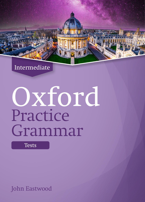

# Oxford Practice Grammar

**Tests** 

John Eastwood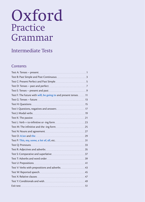# Oxford Practice Grammar

# Intermediate Tests

# **Contents**

| Test F: The future with will, be going to and present tenses11 |     |
|----------------------------------------------------------------|-----|
|                                                                |     |
| Test H: Questions 15                                           |     |
|                                                                |     |
|                                                                |     |
|                                                                |     |
|                                                                |     |
|                                                                |     |
|                                                                |     |
| Test O: A/an and the 29                                        |     |
|                                                                |     |
|                                                                |     |
|                                                                |     |
|                                                                |     |
|                                                                |     |
|                                                                |     |
|                                                                |     |
|                                                                |     |
|                                                                |     |
|                                                                | .49 |
|                                                                | .51 |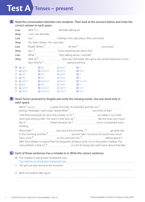# **Test A Tenses – present**

#### A Read the conversation between two students. Then look at the answers below and write the correct answer in each space.

| Lisa: |                  |               |                                   | Who *is ______________________ Michelle talking to?     |          |  |
|-------|------------------|---------------|-----------------------------------|---------------------------------------------------------|----------|--|
|       | Amy:             |               | I can't see Michelle.             |                                                         |          |  |
| Lisa: |                  |               |                                   |                                                         |          |  |
|       | Amy:             |               | Oh, that's Adrian. He's new here. |                                                         |          |  |
| Lisa: |                  |               |                                   |                                                         |          |  |
|       | Amy:             |               |                                   |                                                         |          |  |
|       | Lisa:            |               |                                   |                                                         |          |  |
|       | Amy:             |               |                                   |                                                         |          |  |
|       |                  |               |                                   |                                                         |          |  |
|       | $\bullet$ a) are |               |                                   | $\mathsf{b}$ ) do $\mathsf{c}$ ) does $\mathsf{d}$ ) is |          |  |
|       |                  | $1$ a) aren't |                                   | <b>b</b> ) doesn't <b>c</b> ) don't <b>d</b> ) isn't    |          |  |
|       | 2 a) are         |               |                                   | <b>b</b> ) do <b>c</b> ) does                           | d) is    |  |
|       | 3 a) Are         |               |                                   | <b>b</b> ) Do <b>c</b> ) Does <b>d</b> ) Is             |          |  |
|       |                  |               |                                   | 4 a) aren't b) doesn't c) don't d) 'm not               |          |  |
|       | 5 a) are         |               |                                   | <b>b</b> ) do <b>c</b> ) does                           | d) is    |  |
|       |                  |               |                                   | 6 a) aren't b) doesn't c) don't d) isn't                |          |  |
|       | $7$ a) aren't    |               | b) doesn't                        | $c)$ don't                                              | d) isn't |  |

### **B** Read Tessa's postcard to Angela and write the missing words. Use one word only in each space.

|          | We're $*$ having $\Box$ a great time here. It's beautiful, and the sun $\Box$                                             |  |
|----------|---------------------------------------------------------------------------------------------------------------------------|--|
|          |                                                                                                                           |  |
|          |                                                                                                                           |  |
|          | room and writing a few. The room is fine, but we $4$ [2000] like the food very much.                                      |  |
|          |                                                                                                                           |  |
| evening. |                                                                                                                           |  |
|          |                                                                                                                           |  |
|          | in the morning, and Dan <sup>9</sup> <u>Common Supering up</u> even later. You know of course how much                    |  |
|          | Dan's work <sup>10</sup> <u>Common Common and how he's</u> <sup>11</sup> [1] and how he's <sup>11</sup> [2] and solut it. |  |
|          | Well, the holiday is so good that he's forgotten all about work. So it's the perfect holiday. The                         |  |
|          |                                                                                                                           |  |

# Each of these sentences has a mistake in it. Write the correct sentence. **C**

- ♦ The children is doing their homework now. The children are doing their homework now.
- 1 The girls are play tennis at the moment.
- 2 Both my brothers likes sport.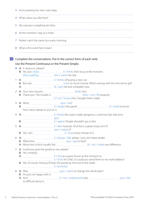3 Anna wearing her new coat today.

- 4 What colour you like best?
- 5 My suitcase is weighing ten kilos.
- 6 At the moment I stay at a hotel.
- 7 Robert catch the same bus every morning.

8 What is this word here mean?

# **D** Complete the conversations. Put in the correct form of each verb.

#### Use the Present Continuous or the Present Simple.

- ◆ A: Is Jessica in, please? **B:** Yes, but *I think* ( $I / t$  / think) she's busy at the moment. She's washing (she / wash) her hair.
- 1 A:  $\frac{1}{1}$  A:
	- B: But cars (cost) so much money. What's wrong with the one we've got?

- A: (it / get) old and unreliable now.
- 2 A: Your new trousers **manually and the manual manual** (look) nice. B: Thank you. The trouble is (they / not / fit) properly.
	- (I / not / know) why I bought them, really.
- 3 A: What (you / do)? B: 2009 COVERT 2009 COVERT 2009 COVERT 2009 COVERT 2009 COVERT 2009 COVERT 2009 COVERT 2009 COVERT 2009 COVERT 2009 COVERT 2009 COVERT 2009 COVERT 2009 COVERT 2009 COVERT 2009 COVERT 2009 COVERT 2009 COVERT 2009 COVERT 200 how many stamps to put on it.
- 4 A:  $\Box$ (go).
- B: (I / agree). People shouldn't go so fast.
- 5 A:  $\frac{1}{2}$  A:  $\frac{1}{2}$  and this is a great show, isn't it?
	- (you / enjoy) it?
- B: Yes, I am. (I / love) every minute of it.
- 6 A: (I / always / fall) asleep. I just can't keep awake.
- B: What time (you / go) to bed?
- A: About ten o'clock usually. But **[10]** Maximilary enterprise (it / not / make) any difference.
- 7 A: Could you post the goods to me, please?
	- B: Yes, certainly.
	- A: (I / live) at a guest house at the moment as
	- (I / look) for a flat. So could you send them to my work address?
	- B: Yes, of course. And you'll have the goods by the end of the week,
		- (I / promise).
- 8 A: Why (you / want) to change the whole plan?
	- B: I'm just not happy with it.
	- A: And (VOU / be) (I / not / understand) why (VOU / be) so difficult about it.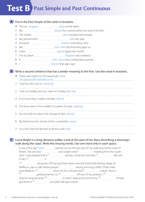# **Test B Past Simple and Past Continuous**

# A Put in the Past Simple of the verbs in brackets.

- ◆ The car stopped (stop) at the lights.
- 1 We  $\frac{1}{\frac{1}{\frac{1}{\sqrt{1-\frac{1}{\sqrt{1-\frac{1}{\sqrt{1-\frac{1}{\sqrt{1-\frac{1}{\sqrt{1-\frac{1}{\sqrt{1-\frac{1}{\sqrt{1-\frac{1}{\sqrt{1-\frac{1}{\sqrt{1-\frac{1}{\sqrt{1-\frac{1}{\sqrt{1-\frac{1}{\sqrt{1-\frac{1}{\sqrt{1-\frac{1}{\sqrt{1-\frac{1}{\sqrt{1+\frac{1}{\sqrt{1-\frac{1}{\sqrt{1-\frac{1}{\sqrt{1+\frac{1}{\sqrt{1+\frac{1}{\sqrt{1+\frac{1}{\sqrt{1+\frac{1}{\sqrt{1+\frac{1}{\sqrt{$
- 2 The streets *manually crowded* with people.
- 3 My grandmother **manual manual manual manual manual manual** (die) last year.
- 4 Everyone (have) a marvellous time.
- 5 We (not / like) the food they gave us.
- 6 Claire **CLAITE** (go) to Egypt last month.
- 7 The accident [10001] The accident (happen) last weekend.
- 8 It (not / be) a very comfortable journey.
- 9 I (know) that ages ago.

**B** Write a second sentence that has a similar meaning to the first. Use the word in brackets.

- ♦ There were lights on the spacecraft. (had) The spacecraft had lights on it.
- 1 I had my old coat on. (wearing)
- 2 I was on holiday, and you were on holiday, too. (we)
- 3 It isn't true that I made a mistake. (didn't)
- 4 The boys were in the middle of a game of cards. (playing)
- 5 No one told me about the change of plan. (know)
- 6 My friend was the winner of the competition. (won)
- 7 Is it a fact that the Romans built this wall? (did)

### Lorna Bright is a long-distance walker. Look at this part of her diary describing a morning's **C** walk along the coast. Write the missing words. Use one word only in each space.

It was a fine day  $*$  when I started out on the last part of my walk around the coast of Britain. The sun was  $1$   $\ldots$   $\ldots$  and a light wind  $2$   $\ldots$  blowing from the southwest. I was pleased that it  $\frac{3}{1}$  m raining. I knew by now that  $1\frac{4}{1}$  like rain.  $\ln$  fact  $1^5$  it.

I<sup>6</sup> **16** along the cliff top and then down into the lovely little fishing village of Wellburn, past a café where people  $7$  having morning coffee. Three miles past Wellburn I<sup>8</sup> <u>down</u> down for five minutes and <sup>9</sup> downs and a drink. Now it 10 **getting warmer, so I<sup>11</sup>** different of my jumpers. I<sup>12</sup> different of mass of  $\frac{1}{2}$  and  $\frac{1}{2}$  and  $\frac{1}{2}$  and  $\frac{1}{2}$  and  $\frac{1}{2}$  and  $\frac{1}{2}$  and  $\frac{1}{2}$  and  $\frac{1}{2}$  and  $\frac{1}{2}$  and  $\frac{1}{2}$  and stop for long because I<sup>13</sup> Intermal to reach Seabury by lunch time.<sup>14</sup> Ifinally got there, it 15 just after half past twelve.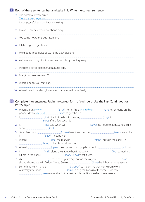# **D** Each of these sentences has a mistake in it. Write the correct sentence.

- ◆ The hotel were very quiet. The hotel was very quiet.
- 1 It was peaceful, and the birds were sing.
- 2 I washed my hair when my phone rang.
- 3 You came not to the club last night.
- 4 It taked ages to get home.
- 5 We tried to keep quiet because the baby sleeping.
- 6 As I was watching him, the man was suddenly running away.
- 7 We pass a petrol station two minutes ago.
- 8 Everything was seeming OK.
- 9 Where bought you that bag?
- 10 When I heard the alarm, I was leaving the room immediately.

#### **E** Complete the sentences. Put in the correct form of each verb. Use the Past Continuous or Past Simple.

◆ When Martin *arrived* <u>[arrived can alternal</u> (arrive) home, Anna was talking [talk] to someone on the phone. Martin started (start) to get the tea.

- 1 I Manuel (Iie) in the bath when the alarm (11) (ring). It (stop) after a few seconds.
- 2 It (be) cold when we (leave) the house that day, and a light snow (fall).
- 3 Your friend who (come) here the other day (seem) very nice. I manual meeting her.
- 4 When I (see) the man, he (stand) outside the bank. He (have) a black baseball cap on.
- 5 When I [1] [61] (open) the cupboard door, a pile of books [161] [62] [62] [62] out.
- 6 I Manual Extract When I suddenly Manual (feel) something hit me in the back. I (not / know) what it was.
- 7 We <u>Cambridge Cole</u> (go) to London yesterday, but on the way we Cole (hear) (hear) about a bomb scare in Oxford Street. So we (drive) back home straightaway.
- 8 Something very strange (happen) to me on my way home from work yesterday afternoon. I manufacture (drive) along the bypass at the time. Suddenly I (see) my mother in the seat beside me. But she died three years ago.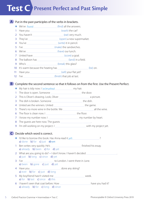# **Test C Present Perfect and Past Simple**

# A Put in the past participles of the verbs in brackets.

- ◆ We've found (find) all the answers.
- 1 Have you **[2016]** Have you **[2016]** Have you **[2016]** Have we know the car?
- 2 You haven't <u>www.www.www.www.www.www.cat</u>) very much.
- 3 They've (open) a new supermarket.
- 4 You've **[100]** You've **The Contract Automaker Contract Automaker Contract View Automaker View Automaker Contract Automaker Contract Automaker View Automaker Contract Automaker Contract Automaker View Automaker View Autom**
- 5 I've <u>Election Communications</u> (make) the sandwiches.
- 6 We've **[200]** We've **EXECUTE:** (have) our lunch.
- 7 United have (score) a goal.
- 8 The balloon has (land) in a field.
- 9 Who's <u>[</u>[41] Who's [169] Who's [169] Who's [169] Who's [169] Who's [169] Who's [169] Who [269] Who [269] Who [269] Who [269] Who [269] Who [269] Who [269] Who [269] Who [269] Who [269] Who [269] Who [269] Who [269] Who
- 10 It's warm because the heating has (be) on.
- 11 Have you **manual manual manual manual manual manual manual manual manual manual manual manual manual manual**
- 12 I've (finish) that job at last.

# **B** Complete the second sentence so that it follows on from the first. Use the Present Perfect.

- ◆ My hair is tidy now. I've brushed my my hair.
- 1 The door is open. Someone **manual community** the door.
- 2 This is Oliver's drawing. Look, Oliver **manual container a picture**.
- 3 The dish is broken. Someone the dish.
- 4 United are the winners. United **winter and the game.** the game.
- 5 There's no more wine in the bottle. We **manually construct the wine.**
- 6 The floor is clean now. I the floor.
- 7 I know my number now. I manual manual means my number by heart.
- 8 The guests are here now. The guests .
- 9 I'm still working on my project. I with my project yet.

# Decide which word is correct. **C**

- ♦ I'd like to borrow this book. Has Anna read it yet a) done **b**) for **c**) just  $\frac{d}{dx}$
- 1 Ben writes very quickly. He's **heroefficially** surrows finished his essay. a) already **b**) been **c**) for **d**) yet
- 2 What are you going to do? ~ I don't know. I haven't decided . a) just **b**) long **c**) since **d**) yet
- 3 I've to London. I went there in June.
- a) been **b**) gone **c**) just **d**) yet
- 4 Have you done any skiing?
- a) ever **b**) for **c**) just **d**) long 5 My boyfriend hasn't visited me week.
- a) for **b**) last **c**) since **d**) this
- 6 I haven't seen that coat before. How **have you have you had it?** a) already **b**) for **c**) long **d**) since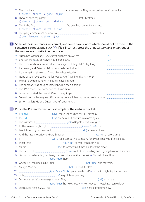|                   | a) already b) been c) gone d) just                          |                                                                                                                                                                                               |
|-------------------|-------------------------------------------------------------|-----------------------------------------------------------------------------------------------------------------------------------------------------------------------------------------------|
| 8                 |                                                             |                                                                                                                                                                                               |
|                   | a) already b) before c) for d) since                        |                                                                                                                                                                                               |
| 9.                |                                                             |                                                                                                                                                                                               |
|                   | a) already b) since c) that d) time                         |                                                                                                                                                                                               |
|                   |                                                             |                                                                                                                                                                                               |
|                   | a) ever b) never c) since d) yet                            |                                                                                                                                                                                               |
| D.                |                                                             | Some of these sentences are correct, and some have a word which should not be there. If the                                                                                                   |
|                   |                                                             | sentence is correct, put a tick (√). If it is incorrect, cross the unnecessary have or has out of                                                                                             |
|                   | the sentence and write it in the space.                     |                                                                                                                                                                                               |
|                   | Susan has lost her keys. She can't find them anywhere.      | $\sqrt{ }$                                                                                                                                                                                    |
| ٠                 | Christopher has hurt his hand, but it's OK now.             | <u>has</u>                                                                                                                                                                                    |
| 1                 |                                                             | The directors have arrived half an hour ago, but they didn't stay long.                                                                                                                       |
| 2                 | It's raining, and Peter has left his umbrella behind, look. |                                                                                                                                                                                               |
| 3                 | It's a long time since your friends have last visited us.   |                                                                                                                                                                                               |
| 4                 |                                                             | None of you have called me for weeks. Aren't we friends any more?                                                                                                                             |
| 5                 | We can play tennis now. The others have finished.           |                                                                                                                                                                                               |
| 6                 |                                                             | The company has bought some land, but then it sold it.                                                                                                                                        |
| 7                 | The TV isn't on now. Someone has turned it off.             |                                                                                                                                                                                               |
| 8                 | Tessa has posted the parcel. It's on its way to you.        |                                                                                                                                                                                               |
| 9                 |                                                             |                                                                                                                                                                                               |
|                   | Simon has left. He and Oliver have left after lunch.        |                                                                                                                                                                                               |
|                   |                                                             |                                                                                                                                                                                               |
| 10                |                                                             |                                                                                                                                                                                               |
| E)                |                                                             | Put in the Present Perfect or Past Simple of the verbs in brackets.                                                                                                                           |
|                   |                                                             | ◆ I've had (have) these shoes since my 18 <sup>th</sup> birthday.                                                                                                                             |
|                   |                                                             |                                                                                                                                                                                               |
| 1                 |                                                             | I tidied [10] tidied [10] (tidy) my desk, but now it's in a mess again.                                                                                                                       |
| $\overline{2}$    |                                                             |                                                                                                                                                                                               |
| 3.                |                                                             |                                                                                                                                                                                               |
| 4                 |                                                             |                                                                                                                                                                                               |
| 5                 |                                                             |                                                                                                                                                                                               |
| 6                 |                                                             |                                                                                                                                                                                               |
| 7                 |                                                             |                                                                                                                                                                                               |
| 8                 |                                                             |                                                                                                                                                                                               |
| 9                 |                                                             | The President <b>Markthaw Markt 2016</b> (Come) out of the building and is going to make a speech.<br>You won't believe this, but I've got some tickets for the concert. ~ Oh, well done. How |
| 10                |                                                             |                                                                                                                                                                                               |
| 11                |                                                             |                                                                                                                                                                                               |
| $12 \overline{ }$ |                                                             |                                                                                                                                                                                               |
| 13                |                                                             |                                                                                                                                                                                               |
| 14                |                                                             |                                                                                                                                                                                               |
| 15                |                                                             | (you / see) the news today? ~ No, not yet. I'll watch it at ten o'clock.                                                                                                                      |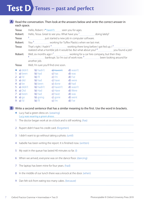# **Test D Tenses – past and perfect**

#### A Read the conversation. Then look at the answers below and write the correct answer in each space.

|   | Tessa:<br>Robert: | Hello, Robert. I <i>haven't</i> seen you for ages.             |          |                                                                                                                                                                                                                                               |  |
|---|-------------------|----------------------------------------------------------------|----------|-----------------------------------------------------------------------------------------------------------------------------------------------------------------------------------------------------------------------------------------------|--|
|   | Tessa:            |                                                                |          |                                                                                                                                                                                                                                               |  |
|   | Robert:           |                                                                |          |                                                                                                                                                                                                                                               |  |
|   | Tessa:            |                                                                |          | That's right. I hadn't 4. The working there long before I got fed up. I 5. The summand of the dual of the summand working there long before I got fed up. I 5                                                                                 |  |
|   |                   |                                                                |          |                                                                                                                                                                                                                                               |  |
|   | Robert:           |                                                                |          | <sup>8</sup> <u>And Summan and Superman and Superman and Superman and Superman and Superman and Superman and Superman and Superman and Superman and Superman and Superman and Superman and Superman and Superman and Superman and Superma</u> |  |
|   |                   | another job.                                                   |          |                                                                                                                                                                                                                                               |  |
|   | Tessa:            | Well, I'm sure you'll find one soon.                           |          |                                                                                                                                                                                                                                               |  |
|   |                   | $\bullet$ a) didn't b) hadn't $\bullet$ haven't d) wasn't      |          |                                                                                                                                                                                                                                               |  |
|   |                   | 1 a) been b) had c) has d) was                                 |          |                                                                                                                                                                                                                                               |  |
|   |                   | <b>2</b> a) I'd <b>b)</b> I'll <b>c</b> ) I'm <b>d</b> ) I've  |          |                                                                                                                                                                                                                                               |  |
|   |                   | 3 a) did b) had c) have d) were                                |          |                                                                                                                                                                                                                                               |  |
| 4 |                   | a) be b) been c) done d) had                                   |          |                                                                                                                                                                                                                                               |  |
|   |                   | 5 a) didn't b) hadn't c) haven't d) wasn't                     |          |                                                                                                                                                                                                                                               |  |
|   |                   | <b>6</b> a) Did <b>b</b> ) Had <b>c</b> ) Have <b>d</b> ) Were |          |                                                                                                                                                                                                                                               |  |
|   |                   | 7 a) been b) had c) have d) was                                |          |                                                                                                                                                                                                                                               |  |
|   |                   | 8 a) go b) going c) gone d) went                               |          |                                                                                                                                                                                                                                               |  |
|   | <b>9</b> a) I'd   | $\mathsf{b}$ ) I'll                                            | $c)$ I'm | $d)$ I've                                                                                                                                                                                                                                     |  |

# **B** Write a second sentence that has a similar meaning to the first. Use the word in brackets.

- ♦ Lucy had a green dress on. (wearing) Lucy was wearing a green dress.
- 1 The doctor began work at six o'clock and is still working. (has)
- 2 Rupert didn't have his credit card. (forgotten)
- 3 I didn't want to go without taking a photo. (until)
- 4 Isabelle has been writing the report. It is finished now. (written)
- 5 My wait in the queue has lasted 40 minutes so far. (I)
- 6 When we arrived, everyone was on the dance floor. (dancing)
- 7 The laptop has been mine for four years. (had)
- 8 In the middle of our lunch there was a knock at the door. (when)
- 9 Dan felt sick from eating too many cakes. (because)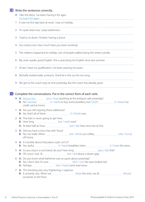# Write the sentences correctly. **C**

- ♦ I like this dress. I've been having it for ages. I've had it for ages.
- 1 It was my first day back at work. I was on holiday.
- 2 I'm quite tired now. I play badminton.
- 3 I had to sit down. I'd been having a shock.
- 4 You need a rest. How much have you been working?
- 5 The robbery happened at midday. Lots of people walked along the street outside.
- 6 My sister speaks good English. She is practising her English since last summer.
- 7 At last I have my qualification. I've been passing my exam.
- 8 Michelle looked really sunburnt. She'd lie in the sun for too long.
- 9 We got to the coach stop at nine yesterday. But the coach has already gone.

# **D** Complete the conversations. Put in the correct form of each verb.

◆ A: Did you buy (you / buy) anything at the antiques sale yesterday? B: No I wanted (I / want) to buy some jewellery, but I'd left (I / leave) my credit card at home.

- 1 A: Are you still copying those addresses? B: No, that's all of them. (I / finish) now.
- 2 A: The train is never going to get here. B: How long (we / wait) now?

- A: At least half an hour. <u>[</u>[[[[[[[[[[[]]]] (we / be) here since ten to five.
- 3 A: Did you have a nice chat with Tessa? B: No, not really. When  $\frac{1}{\sqrt{2}}$  (we / drink) our coffee,  $\frac{1}{\sqrt{2}}$  (she / hurry) off home.
- 4 A: It's terrible about that plane crash, isn't it? B: Yes, awful.  $\frac{1}{2}$  /  $\frac{1}{2}$  /  $\frac{1}{2}$  /  $\frac{1}{2}$  /  $\frac{1}{2}$  /  $\frac{1}{2}$  /  $\frac{1}{2}$  /  $\frac{1}{2}$  /  $\frac{1}{2}$  /  $\frac{1}{2}$  /  $\frac{1}{2}$  /  $\frac{1}{2}$  /  $\frac{1}{2}$  /  $\frac{1}{2}$  /  $\frac{1}{2}$  /  $\frac{1}{2}$  /  $\frac{1}{2}$  /  $\$
- 5 A: So you sing in a rock band, do you? How long (you / do) that? B: Oh, since I was 16. (we / do) about a dozen gigs.
- 6 A: Do you know what Katherine was so upset about yesterday?
	- B: No, I don't. But I'm sure **contained as a summally state** (she / cry). Her eyes looked red.
	- A: Perhaps **[2016]** (she / have) some bad news.
- 7 A: The shooting was very frightening, I suppose.
	- B: It certainly was. When we *manualization (hear)* the shot, we all *manualization (throw)* (throw) ourselves to the floor.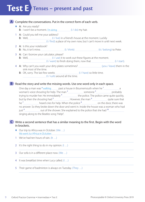# **Test E Tenses – present and past**

# A Complete the conversations. Put in the correct form of each verb.

- ◆ A: Are you ready?
	- **B:** I won't be a moment. I'm doing  $\left(1/\text{do}\right)$  my hair.
- 1 A: Could you tell me your address?
	- B: Well,  $\frac{1}{1}$  /  $\frac{1}{1}$  /  $\frac{1}{1}$  /  $\frac{1}{1}$  /  $\frac{1}{1}$  ive) in a friend's house at the moment. Luckily
	- (I / find) a place of my own now, but I can't move in until next week.
- 2 A: Is this your notebook? B: No, it isn't mine.  $\frac{1}{2}$   $\frac{1}{2}$  / think)  $\frac{1}{2}$  (it / belong) to Peter.
- 3 A: Can I borrow your calculator, please? B: Well, (I / use) it to work out these figures at the moment. (I / want) to finish doing them, now that (I / start).
- 4 A: Why can't you wash your dirty plates sometimes? [[11] Maxim Langley (you / leave) them in the sink most of the time.
	- B: OK, sorry. The last few weeks *International CHC* (I / have) so little time. (I / rush) around all the time.

# **B** Read the story and write the missing words. Use one word only in each space.

| One day a man was $*$ walking $\frac{1}{2}$ past a house in Bournemouth when he $\frac{1}{2}$ $\frac{1}{2}$ a                         |  |
|---------------------------------------------------------------------------------------------------------------------------------------|--|
| woman's voice shouting for help. The man $2$ someone $3$ someone $3$ s must be probably                                               |  |
| trying to murder her. He immediately $4$ $\ldots$ the police. The police came quite quickly,                                          |  |
| but by then the shouting had <sup>5</sup> ______________________. However, the man <sup>6</sup> ______________________quite sure that |  |
| $he^7$ heard cries for help. When the police $\frac{8}{2}$ on the door, there was                                                     |  |
| no answer. So they broke down the door and went in. Inside the house was a woman who had                                              |  |
| just <sup>9</sup> __________________out of the shower. She explained to the police that she had <sup>10</sup>                         |  |
| singing along to the Beatles song 'Help!'.                                                                                            |  |

### Write a second sentence that has a similar meaning to the first. Begin with the word **C** in brackets.

- ◆ Our trip to Africa was in October. (We ...) We went to Africa in October.
- 1 We've had ten hours of rain. (It …)
- 2 It's the right thing to do in my opinion. (I ...)
- 3 Our sofa is in a different place now. (We …)
- 4 It was breakfast time when Lucy called. (I ...)
- 5 Their game of badminton is always on Tuesday. (They …)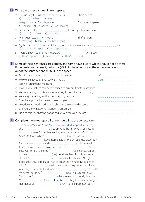# **D** Write the correct answer in each space.

- ◆ This isn't my first visit to London. I've been here before. a) I'm **b)** I've been c) I was
- 1 I've got my key. I found it when *manual manual manual* for something else. a) I looked b) I've looked c) I was looking
- 2 Sorry, I can't stop now. to an important meeting. a)  $\log$  b) I'm going c) I've gone
- 3 I can't get Tessa on her mobile. all afternoon. a) I'm trying b) I try c) I've been trying
- 4 My bank alerted me last week there was no money in my account. it all. a) I'd spent b) I spent c) I was spending
- 5 There's a new road to the motorway. it yesterday. a) They'd opened b) They opened c) They've opened

**E** Some of these sentences are correct, and some have a word which should not be there. If the sentence is correct, put a tick (✓). If it is incorrect, cross the unnecessary word out of the sentence and write it in the space.

- ♦ Martin has changed his mind about next weekend. ✓
- ♦ We were enjoyed the holiday very much. were
- 1 Isabelle is practising the piano.
- 2 It was lucky that we had been decided to buy our tickets in advance.
- 3 We were riding our bikes when suddenly I was felt a pain in my leg.
- 4 We are go camping for three weeks every summer.
- 5 They have planted some new trees last year.
- 6 I suddenly realized I had been walking in the wrong direction.
- 7 Did you know that Anna has been won a prize?
- 8 No one told me that the goods had arrived the week before.

# **F** Complete the news report. Put each verb into the correct form.

|    | The actress Vanessa Kemp • has disappeared (disappear). Yesterday  |  |
|----|--------------------------------------------------------------------|--|
|    |                                                                    |  |
|    | in London's West End for her leading role in the comedy Don't Look |  |
|    |                                                                    |  |
| 3  |                                                                    |  |
|    |                                                                    |  |
|    |                                                                    |  |
|    |                                                                    |  |
|    |                                                                    |  |
|    |                                                                    |  |
|    | o'clock the theatre manager had to break the news to the audience, |  |
|    |                                                                    |  |
|    |                                                                    |  |
|    |                                                                    |  |
|    |                                                                    |  |
| 13 |                                                                    |  |
|    |                                                                    |  |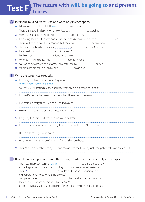# **The future with will, be going to and present Test F tenses**

# A Put in the missing words. Use one word only in each space.

- $\blacklozenge$  I don't want a steak. I think I'll have the chicken.
- 1 There's a fireworks display tomorrow. Jessica is the watch it.
- 2 We're at that table in the corner. you join us?
- 3 I'm seeing the boss this afternoon. But I must study this report before I **her.** her.
- 4 There will be drinks at the reception, but there will **..............................** be any food.
- 5 The European heads of state are **meet in Brussels on 3 October.**
- 6 It's a lovely day. <u>............................</u> we go for a walk?
- 7 My birthday **manual manual contact on** a Sunday next year.
- 8 My brother is engaged. He's **married** in June.
- 9 You won't be allowed to go to your seat after the play started.
- 10 Martin's got his coat on. I think he's **manual** to go out.

# Write the sentences correctly. **B**

- ♦ I'm hungry. I think I have something to eat. I think I'll have something to eat.
- 1 You say you're getting a coach at nine. What time is it getting to London?
- 2 I'll give Katherine the news. I'll tell her when I'll see her this evening.
- 3 Rupert looks really tired. He's about falling asleep.
- 4 We've arranged to go out. We meet in town later.
- 5 I'm going to Spain next week. I send you a postcard.
- 6 I'm going to get to the airport early. I can read a book while I'll be waiting.
- 7 I feel a bit tired. I go to lie down.
- 8 Why not come to the party? All your friends shall be there.
- 9 There's been a bomb warning. No one can go into the building until the police will have searched it.

C Read the news report and write the missing words. Use one word only in each space.

The Maxi-Shop company is  $\cdot$  going the manu-company is to build a huge new shopping centre on the edge of Millingham, it was announced yesterday. There<sup>1</sup> here<sup>1</sup> be at least 300 shops, including some big department stores. When the project<sup>2</sup> complete, there <sup>3</sup> <u>manual manual manual means</u> be hundreds of new jobs for local people. But not everyone is happy. 'We're <sup>4</sup> to fight this plan,' said a spokesperson for the local Environment Group. 'Just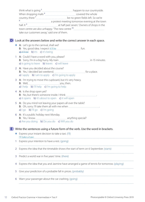| think what is going $\frac{3}{2}$                      | happen to our countryside.                                            |
|--------------------------------------------------------|-----------------------------------------------------------------------|
|                                                        | covered the whole                                                     |
| country, there <sup>7</sup>                            | be no green fields left. So we're                                     |
| 8                                                      | a protest meeting tomorrow evening at the town                        |
| hall. It <sup>9</sup>                                  | at half past seven.' Owners of shops in the                           |
| town centre are also unhappy. The new centre $10^{-1}$ |                                                                       |
| take our customers away,' said one of them.            |                                                                       |
|                                                        |                                                                       |
|                                                        | Look at the answers below and write the correct answer in each space. |

- ♦ A: Let's go to the carnival, shall we? **B:** Yes, good idea. I expect  $\mathbf{t}$  if  $\mathbf{b}$  is no function function function function function  $\mathbf{b}$ a) it'll be b) it's c) it's being
- 1 A: Could I have a word with you, please? B: Sorry, I'm in a big hurry. My train **in 15** minutes. a) is going to leave **b**) leaves **c**) will leave
- 2 A: Have you decided about the course? B: Yes, I decided last weekend. **Example 20** for a place. a) I apply b) I am to apply c) I'm going to apply
- 3 A: I'm trying to move this cupboard, but it's very heavy. B: Well, you, then. a) I help b) I'll help c) I'm going to help
- 4 A: Is the shop open yet? B: No, but there's someone inside. I think a) it opens b) it's about to open c) it will open
- 5 A: Do you mind not leaving your papers all over the table? B: Oh, sorry. I'll take them all with me when *manuara and the sorties* a)  $\log$  b) I'll go c) I'm going
- 6 A: It's a public holiday next Monday. B: Yes, I know. anything special? a) Are you doing b) Do you do c) Will you do

Write the sentences using a future form of the verb. Use the word in brackets. **E**

- ♦ Express your instant decision to take a taxi. (I'll) I'll take a taxi.
- 1 Express your intention to have a rest. (going)
- 2 Express the idea that the timetable shows the start of term on 6 September. (starts)
- 3 Predict a world war in five years' time. (there)
- 4 Express the idea that you and Jasmine have arranged a game of tennis for tomorrow. (playing)

- 5 Give your prediction of a probable fall in prices. (probably)
- 6 Warn your passenger about the car crashing. (going)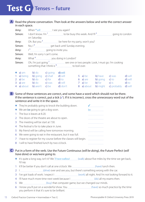# **Test G Tenses – future**

#### A Read the phone conversation. Then look at the answers below and write the correct answer in each space.

| Amy: |                                 | When • will [1] See you again?                                                                                             |                                                                                                                                        |            |                                                                                                                                                               |                                           |
|------|---------------------------------|----------------------------------------------------------------------------------------------------------------------------|----------------------------------------------------------------------------------------------------------------------------------------|------------|---------------------------------------------------------------------------------------------------------------------------------------------------------------|-------------------------------------------|
|      | Simon:                          | on Saturday.                                                                                                               |                                                                                                                                        |            |                                                                                                                                                               |                                           |
| Amy: |                                 |                                                                                                                            | Oh. But you <sup>3</sup> <sub>_______________________be here for my party, won't you?</sub>                                            |            |                                                                                                                                                               |                                           |
|      | Simon:                          |                                                                                                                            |                                                                                                                                        |            |                                                                                                                                                               |                                           |
| Amy: |                                 | 1 <sup>5</sup> _________________going to invite you.                                                                       |                                                                                                                                        |            |                                                                                                                                                               |                                           |
|      | Simon:                          | Well, I'm sorry I can't come.                                                                                              |                                                                                                                                        |            |                                                                                                                                                               |                                           |
| Amy: |                                 |                                                                                                                            |                                                                                                                                        |            |                                                                                                                                                               |                                           |
|      | Simon:                          |                                                                                                                            | something that I think is $\frac{8}{2}$ to boil over.                                                                                  |            |                                                                                                                                                               |                                           |
|      | $\bullet$ a) am<br>1 $a)$ being | <b>b</b> ) do <b>c</b> ) going<br><b>b</b> ) going <b>c</b> ) shall <b>d</b> ) will<br>4 a) about b) aren't c) be d) don't | $d)$ will<br><b>2</b> a) be <b>b</b> ) do <b>c</b> ) for <b>d</b> ) to<br><b>3</b> a) are <b>b</b> ) do <b>c</b> ) was <b>d</b> ) will | 8 a) about | 5 a) be b) have c) was<br><b>6 a)</b> are <b>b)</b> going <b>c)</b> to<br><b>7</b> a) be <b>b</b> ) for <b>c</b> ) is<br><b>b</b> ) might <b>c</b> ) probably | d) will<br>d) will<br>$d$ ) to<br>d) will |

**B** Some of these sentences are correct, and some have a word which should not be there. If the sentence is correct, put a tick (✓). If it is incorrect, cross the unnecessary word out of the sentence and write it in the space.

|              | ◆ They're probably going to knock the building down.            |                                       |
|--------------|-----------------------------------------------------------------|---------------------------------------|
|              | $\blacklozenge$ We are be going to get a dog soon.              | be                                    |
| $\mathbf{1}$ | The bus is leaves at 8.20.                                      | ------------------------------------- |
|              | 2 The doors of the theatre are about to open.                   |                                       |
|              | 3 The meeting will be start at 7.30.                            |                                       |
|              | 4 The festival is for to take place in June.                    |                                       |
| 5.           | My friend will be calling here tomorrow morning.                |                                       |
| 6            | We were going to eat in the restaurant, but it was full.        | ------------------------------------  |
| 7            | I have to register for my course before the classes will begin. |                                       |
|              | 8 I will to have finished lunch by two o'clock.                 |                                       |

#### Put in a form of the verb. Use the Future Continuous (*will be doing*), the Future Perfect (*will*  **C** *have done*) or *was/were going to*.

- ♦ It's quite a long way, isn't it? We 'll have walked (walk) about five miles by the time we get back, I'd say.
- 1 It'll be better if you don't call at one o'clock. We *manual communication* (have) lunch then.
- 2 I Manual Christian (drive) over and see you, but there's something wrong with the car.
- 3 I've got loads of work. I expect I [100] (work) all night. And I'm not looking forward to it.
- 4 I'll have much more time next week because I (do) all my exams then.
- 5 We <u>Changed our minds.</u> (buy) that computer game, but we changed our minds.
- 6 I know you'll put on a wonderful show. You (have) so much practice by the time you perform it that it's sure to be brilliant.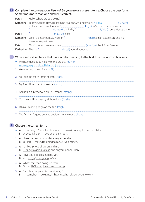|        | Sometimes more than one answer is correct.                                                                |                                                                | Complete the conversation. Use will, be going to or a present tense. Choose the best form.                                                                                                                                      |  |
|--------|-----------------------------------------------------------------------------------------------------------|----------------------------------------------------------------|---------------------------------------------------------------------------------------------------------------------------------------------------------------------------------------------------------------------------------|--|
| Peter: | Hello. Where are you going?                                                                               |                                                                |                                                                                                                                                                                                                                 |  |
|        |                                                                                                           |                                                                | Katherine: To my evening class. I'm learning Swedish. And next week *I'll have manual manus (I / have)<br>$\frac{1}{2}$ (I / leave) on Friday. <sup>3</sup> [I / leave] on Friday. <sup>3</sup> [I / visit) some friends there. |  |
| Peter: |                                                                                                           |                                                                |                                                                                                                                                                                                                                 |  |
|        | twenty-five past now.                                                                                     |                                                                | Katherine: Well, I'd better hurry. My lesson <sup>5</sup> [10001] (start) at half past seven, and it's                                                                                                                          |  |
| Peter: |                                                                                                           |                                                                | OK. Come and see me when $6$ manufacture manufacture (you / get) back from Sweden.                                                                                                                                              |  |
|        |                                                                                                           |                                                                |                                                                                                                                                                                                                                 |  |
| 1      | $\blacklozenge$ We have decided to help with the project. (going)<br>We're willing to wait for you. ('ll) |                                                                | Write a second sentence that has a similar meaning to the first. Use the word in brackets.<br>We are going to help with the project.                                                                                            |  |
| 2      | You can get off this train at Bath. (stops)                                                               |                                                                |                                                                                                                                                                                                                                 |  |
| 3      | My friend intended to meet us. (going)                                                                    |                                                                |                                                                                                                                                                                                                                 |  |
| 4      | Adrian's job interview is on 17 October. (having)                                                         |                                                                |                                                                                                                                                                                                                                 |  |
| 5      | Our meal will be over by eight o'clock. (finished)                                                        |                                                                |                                                                                                                                                                                                                                 |  |
| 6      | I think I'm going to go on the trip. (might)                                                              |                                                                |                                                                                                                                                                                                                                 |  |
| 7      |                                                                                                           | The fire hasn't gone out yet, but it will in a minute. (about) |                                                                                                                                                                                                                                 |  |
|        |                                                                                                           |                                                                |                                                                                                                                                                                                                                 |  |

# **F** Choose the correct form.

- ♦ A: I'd better go. I'm cycling home, and I haven't got any lights on my bike. B: Oh, yes. It'll be/It'll have been dark soon.
- 1 A: I hear the rent on your flat is very expensive. B: Yes it is. I'll move/I'm going to move, I've decided.
- 2 A: I'd like a photo of Martin and me. B: I'll take/I'm going to take one on your phone, then.
- 3 A: Have you booked a holiday yet? B: Yes, we go/we're going to Spain.
- 4 A: What's that man doing up there? B: Oh no! He'll jump/He's going to jump!
- 5 A: Can I borrow your bike on Monday? B: I'm sorry, but I'll be using/I'll have used it. I always cycle to work.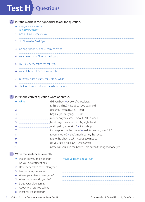# **Test H Questions**

**A** Put the words in the right order to ask the question.

- ♦ everyone / is / ready Is everyone ready?
- 1 been / have / where / you
- 2 do / batteries / sell / you
- 3 belong / phone / does / this / to / who
- 4 are / here / how / long / staying / you
- 5 is / like / new / office / what / your
- 6 are / flights / full / of / the / which
- 7 carnival / does / start / the / time / what
- 8 decided / has / holiday / Isabelle / on / what

# **B** Put in the correct question word or phrase.

- $\triangle$  What  $\triangle$  What did you buy?  $\sim$  A box of chocolates. 1  $\frac{1}{1}$   $\frac{1}{1}$   $\frac{1}{1}$   $\frac{1}{1}$   $\frac{1}{1}$   $\frac{1}{1}$   $\frac{1}{1}$  is this building?  $\sim$  It's about 200 years old. 2 **does your team play in?** ~ Red. 3 bag are you carrying? ~ Julia's. 4 **money do you earn?** ~ About £500 a week. 5 hand do you write with? ~ My right hand.  $6$  of shop do you work in?  $\sim$  A toy shop. 7 **first stepped on the moon?** ~ Neil Armstrong, wasn't it? 8 immales in the sum of the state of the state of the state of the state of the state of the state of the state of the state of the state of the state of the state of the state of the state of the state of the state of the 9 is it to the pharmacy?  $\sim$  About 200 metres. 10 do you take a holiday? ~ Once a year.
- 11 **name will you give the baby?** ~ We haven't thought of one yet.

# Write the sentences correctly. **C**

#### ◆ Would like you to go sailing? Would you like to go sailing?

 Do you be a student here? 2 How many cakes have eaten you? Enjoyed you your walk? 4 Where your friends have gone? What kind music do you like? Does Peter plays tennis? About what are you talking? 8 What has it happened?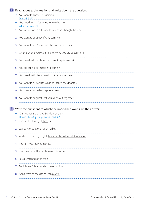# **D** Read about each situation and write down the question.

- ♦ You want to know if it is raining. Is it raining?
- ◆ You need to ask Katherine where she lives. Where do you live?
- 1 You would like to ask Isabelle where she bought her coat.
- 2 You want to ask Lucy if Amy can swim.
- 3 You want to ask Simon which band he likes best.
- 4 On the phone you want to know who you are speaking to.
- 5 You need to know how much audio systems cost.
- 6 You are asking permission to come in.
- 7 You need to find out how long the journey takes.
- 8 You want to ask Adrian what he locked the door for
- 9 You want to ask what happens next.
- 10 You want to suggest that you all go out together.

Write the questions to which the underlined words are the answers. **E**

- ♦ Christopher is going to London by train. How is Christopher going to London?
- 1 The Smiths have got three cars.
- 2 Jessica works at the supermarket.
- 3 Andrea is learning English because she will need it in her job.
- 4 The film was really romantic.
- 5 The meeting will take place next Tuesday.
- 6 Tessa switched off the fan.
- 7 Mr Johnson's burglar alarm was ringing.
- 8 Anna went to the dance with Martin.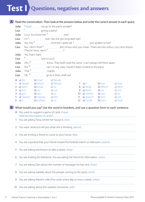# **Test I Questions, negatives and answers**

| A      |           |                               |                                                                                                                         |  |                                              | Read the conversation. Then look at the answers below and write the correct answer in each space. |
|--------|-----------|-------------------------------|-------------------------------------------------------------------------------------------------------------------------|--|----------------------------------------------|---------------------------------------------------------------------------------------------------|
| Julia: |           |                               | *Shall we go to the party tonight?                                                                                      |  |                                              |                                                                                                   |
| Lisa:  |           |                               |                                                                                                                         |  |                                              |                                                                                                   |
| Julia: |           |                               |                                                                                                                         |  |                                              |                                                                                                   |
| Lisa:  |           |                               |                                                                                                                         |  |                                              |                                                                                                   |
| Julia: |           |                               | Yes, she $4$ <u>masses and</u> And she's quite tall. <sup>5</sup> masses and spoken to her?                             |  |                                              |                                                                                                   |
| Lisa:  |           |                               | No, I don't think <sup>6</sup> _____________________. But I know who you mean. There are two sisters, Lucy and Jessica. |  |                                              |                                                                                                   |
| Julia: |           | Yes, that's right.            |                                                                                                                         |  |                                              |                                                                                                   |
| Lisa:  |           |                               |                                                                                                                         |  |                                              |                                                                                                   |
| Julia: |           |                               | Oh, I <sup>9</sup> <u>manual manual</u> know. They both look the same. I can't always tell them apart.                  |  |                                              |                                                                                                   |
| Lisa:  |           |                               |                                                                                                                         |  |                                              |                                                                                                   |
| Julia: |           | That $\frac{11}{1}$ matter.   |                                                                                                                         |  |                                              |                                                                                                   |
| Lisa:  |           |                               | OK. <sup>12</sup> go to it then, shall we?                                                                              |  |                                              |                                                                                                   |
|        |           | • a) Do b) Shall c) Would     |                                                                                                                         |  |                                              |                                                                                                   |
|        |           | 1 a) What's b) Who's c) Whose |                                                                                                                         |  | <b>a</b> ) it <b>b</b> ) not <b>c</b> ) they |                                                                                                   |
|        |           | 2 $a)$ don't b) know c) so    |                                                                                                                         |  | <b>b</b> What <b>b</b> Which                 | <b>c)</b> Who                                                                                     |
|        |           |                               | 3 a) $\sin't$ b) no c) not                                                                                              |  | <b>9</b> a) don't b) no                      | c) not                                                                                            |
|        |           |                               | <b>4 a)</b> got <b>b)</b> has <b>c)</b> so                                                                              |  | 10 a) neither b) not c) so                   |                                                                                                   |
|        |           | 5 a) Haven't b) Having c) Not |                                                                                                                         |  | 11 a) doesn't b) isn't c) not                |                                                                                                   |
|        | $6$ a) it |                               | <b>b</b> ) neither <b>c</b> ) so                                                                                        |  | <b>12 a)</b> Could <b>b)</b> Let's           | c) Shall                                                                                          |

**B** What would you say? Use the word in brackets, and use a question form in each sentence.

- ♦ You want to suggest a game of cards. (have) Shall we have a game of cards?
- 1 You are asking Tessa where her house is. (live)

2 You want Jessica to tell you what she is thinking. (about)

- 3 You are inviting a friend to come to your house. (like)
- 4 You are surprised that your friend missed the football match on television. (watch)
- 5 You are asking permission to take a photo. (may)
- 6 You are looking for Katherine. You are asking her friend for information. (seen)
- 7 You are asking Dan about the number of messages he has sent. (how)
- 8 You are asking Isabelle about the people coming to her party. (who)
- 9 You are asking Martin's wife if he cooks every day or once a week. (often)
- 10 You are asking about the weather tomorrow. (will)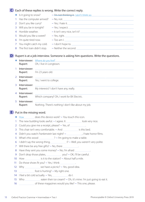# Each of these replies is wrong. Write the correct reply. **C**

| Is it going to snow?           |                                                     |
|--------------------------------|-----------------------------------------------------|
| 1 Has the computer arrived?    |                                                     |
| 2 Don't you like curry?        |                                                     |
| 3 Will you be in tonight?      |                                                     |
| 4 Horrible weather.            |                                                     |
| 5 Would you like a sweet?      | $\sim \text{Yes, right.} \underbrace{\hspace{2cm}}$ |
| 6 I'm quite tired now.         |                                                     |
| 7 You might catch my cold.     |                                                     |
| 8 The first train didn't stop. |                                                     |
|                                |                                                     |

# **D** Rupert is at a job interview. Someone is asking him questions. Write the questions.

|                | Rupert:                   | <b>Interviewer:</b> Where do you live?<br>Oh, I live in Longtown. |
|----------------|---------------------------|-------------------------------------------------------------------|
|                | Interviewer:<br>Rupert:   | l'm 23 years old.                                                 |
|                | 2 Interviewer:<br>Rupert: | Yes, I went to college.                                           |
|                | 3 Interviewer:<br>Rupert: | My interests? I don't have any, really.                           |
| $\overline{4}$ | Interviewer:<br>Rupert:   | Which company? Oh, I work for BX Electric.                        |
|                | 5 Interviewer:<br>Rupert: | Nothing. There's nothing I don't like about my job.               |

# **E** Put in the missing word.

- ◆ How does this device work? ~ You touch this icon.
- 1 The new building looks awful.  $\sim$  l agree. It look very nice.
- 2 Could you give me a receipt, please? ~ Yes, of .
- 3 This chair isn't very comfortable.  $\sim$  And is this bed.
- 4 Didn't you watch *Frankenstein* last night? ~ 1.1 mate horror films.
- 5 What's this wood  $\frac{?}{2}$  ~ I'm going to make a table.
- 6 I didn't say the wrong thing,  $\frac{1}{2}$  P  $\sim$  Well, you weren't very polite.
- 7 Will there be any free gifts? ~ No, there .
- 8 Have they sent you some money? ~ No, I'm afraid
- 9 Don't drop those plates,  $y_0 = 9$  Don't drop those plates,  $y_0 = 9$  Vou?  $\sim$  OK, I'll be careful.
- 10 How  $\frac{1}{2}$  How  $\frac{1}{2}$  is it to the station?  $\sim$  About half a mile.
- 11 Do those shoes fit you? ~ Yes, I think .
- 12 Why  $\frac{1}{2}$  Why  $\frac{1}{2}$  we have a picnic?  $\sim$  Yes, good idea.
- 13 **foot is hurting?** ~ My right one.
- 14 I feel a bit cold actually. ~ Yes, do I.
- 15 Who eaten their ice cream? ~ Oh, it's mine. I'm just going to eat it.
- 16 of these magazines would you like?  $\sim$  This one, please.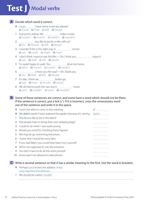# **Test J Modal verbs**

# Decide which word is correct. **A**

- ♦ Could I have some more tea, please? a) Could b) Shall c) Will d) Would
- 1 Everyone's asleep. We make a noise. a) couldn't b) mustn't c) needn't d) wouldn't
- 2 **Manual** 2 you like to go for a ride with us? a) Do b) Should c) Will d) Would
- 3 I wonder if this is the right way. It **moder** and be. a) can **b**) could **c**) might **d**) must
- 4 I don't think I want to see this film. ~ Oh, I think you enjoy it. a) can **b**) shall **c**) will **d**) would
- 5 I'm quite happy to walk. You drive me home. a) don't b) haven't c) mustn't d) needn't
- $6$   $\frac{1}{2}$  show you the way?  $\sim$  Oh, thank you. a) Do b) Shall c) Will d) Would
- 7 It's late. I think we better go. a) had **b**) have **c**) should **d**) would
- 8 We all tried to push the van, but it move. a) can't b) couldn't c) won't d) wouldn't
- **B** Some of these sentences are correct, and some have a word which should not be there. If the sentence is correct, put a tick (✓). If it is incorrect, cross the unnecessary word out of the sentence and write it in the space.

|    | I won't be able to come to the meeting.                         |                                       |
|----|-----------------------------------------------------------------|---------------------------------------|
|    | We didn't needn't have watered the garden because it's raining. | didn't                                |
|    | Would you like to be in the team?                               |                                       |
|    | Did people have to bring their own sleeping bags?               |                                       |
| 3  | I could to ski when I was quite young.                          |                                       |
| 4  | Would you mind for checking these figures?                      |                                       |
| 5. | We may be go swimming tomorrow.                                 |                                       |
| 6  | I knew that I would be sorry later.                             |                                       |
|    | If you had fallen, you could have been hurt yourself.           |                                       |
| 8  | We're not supposed to use this entrance.                        |                                       |
| 9  | You don't have to do all the work yourself.                     |                                       |
| 10 | Anna wasn't be allowed to take photos.                          | ------------------------------------- |

# Write a second sentence so that it has a similar meaning to the first. Use the word in brackets. **C**

- ♦ Perhaps Lucy knows the address. (may) Lucy may know the address.
- 1 We should be careful. (ought)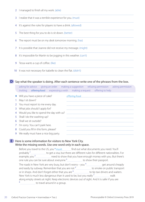- 2 I managed to finish all my work. (able)
- 3 I realize that it was a terrible experience for you. (must)
- 4 It's against the rules for players to have a drink. (allowed)
- 5 The best thing for you to do is sit down. (better)
- 6 The report must be on my desk tomorrow morning. (has)
- 7 It is possible that Joanne did not receive my message. (might)
- 8 It's impossible for Martin to be jogging in this weather. (can't)
- 9 Tessa wants a cup of coffee. (like)
- 10 It was not necessary for Isabelle to clean the flat. (didn't)

# **D** Say what the speaker is doing. After each sentence write one of the phrases from the box.

asking for advice giving an order making a suggestion refusing permission asking permission inviting offering food expressing a wish making a request offering to help

| ◆ Will you have a piece of cake?           |  |
|--------------------------------------------|--|
| 1 May I sit down?                          |  |
| 2 You must report to me every day.         |  |
| 3 What jobs should I apply for?            |  |
| 4 Would you like to spend the day with us? |  |
| 5 Shall I do the washing-up?               |  |
| 6 Shall we sit outside?                    |  |
| 7 I'm sorry. You can't park here.          |  |
| 8 Could you fill in this form, please?     |  |
| 9 We really must have a nice big party.    |  |

#### **E** Here is some information for visitors to New York City. Write the missing words. Use one word only in each space.

Before you travel to the US, you \* must manual find out what documents you need. You'll probably<sup>1</sup> to get a visa, but there are different rules for different nationalities. For example, you <sup>2</sup> <u>..............................</u> need to show that you have enough money with you. But there's one rule you can be sure about: everyone <sup>3</sup> the summand to show their passport. The roads in New York are very busy, but don't worry – you  $4$  [[[[[[[[[[[[[[[[[[[[[]]]]]]]]]] get around cheaply and easily by subway. Remember that you are not 5 to smoke on public transport or in shops. And don't forget either that you are  $6$   $\ldots$  to tip taxi drivers and waiters. New York is much less dangerous than it used to be, but you really  $<sup>7</sup>$ </sup> along empty streets at night. Keep electronic devices out of sight. And it is safer if you are 8 to travel around in a group.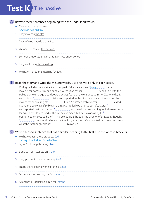# **Test K The passive**

A Rewrite these sentences beginning with the underlined words.

- $\blacklozenge$  Thieves robbed a woman. A woman was robbed.
- 1 They may ban the film.
- 2 They offered Isabelle a pay rise.
- 3 We need to correct the mistakes.
- 4 Someone reported that the situation was under control.
- 5 They are testing the new drug.
- 6 We haven't used the machine for ages.

# **B** Read the story and write the missing words. Use one word only in each space.

During periods of terrorist activity, people in Britain are always *\* being* warned to look out for bombs. Any bag or parcel without an owner 1. Seen as a risk to the public. Some time ago a cardboard box was found at the entrance to Bristol Zoo one day. It was noticed<sup>2</sup> \_\_\_\_\_\_\_\_\_\_\_\_\_\_\_\_\_\_\_\_\_ a visitor and reported to the director. Clearly, if it was a bomb and it went off, people might 3 [2001] [2003] [2013] killed. So army bomb experts 4 called in, and the box was safely blown up in a controlled explosion. Soon afterwards<sup>5</sup> was reported that the box had <sup>6</sup> left there by a boy wanting to find a new home for his pet rat. He was tired of the rat, he explained, but he was unwilling to  $\frac{7}{10}$  it put to sleep by a vet, so he left it in a box outside the zoo. The director of the zoo is thought 8 be unenthusiastic about looking after people's unwanted pets. No one knows what the rat thought about  $\frac{9}{2}$  blown up.

# Write a second sentence that has a similar meaning to the first. Use the word in brackets. **C**

- $\blacklozenge$  We have to test these products. (be) These products have to be tested.
- 1 Taylor Swift sang the song. (by)
- 2 Dan's passport was stolen. (had)
- 3 They pay doctors a lot of money. (are)
- 4 I hope they'll interview me for the job. (to)
- 5 Someone was cleaning the floor. (being)
- 6 A mechanic is repairing Julia's car. (having)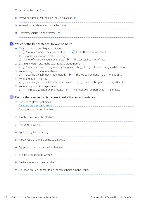| 7  | Tessa lost her way. (got)                                                                                                                                                                            |  |  |  |  |  |  |
|----|------------------------------------------------------------------------------------------------------------------------------------------------------------------------------------------------------|--|--|--|--|--|--|
| 8  | Everyone agreed that the plan should go ahead. (it)                                                                                                                                                  |  |  |  |  |  |  |
| 9  | When did they decorate your kitchen? (get)                                                                                                                                                           |  |  |  |  |  |  |
| 10 | They say exercise is good for you. (be)                                                                                                                                                              |  |  |  |  |  |  |
|    | Which of the two sentences follows on best?                                                                                                                                                          |  |  |  |  |  |  |
|    | There's going to be a big art exhibition.<br>a) $\mathbb{R}$ A lot of visitors will be attracted to it. b) $\mathcal{V}$ it will attract a lot of visitors.                                          |  |  |  |  |  |  |
|    | Our neighbours have got a cat and a dog.<br>a) $\left[\frac{1}{2}\right]$ A lot of mice are caught by the cat. b) $\left[\frac{1}{2}\right]$ The cat catches a lot of mice.                          |  |  |  |  |  |  |
| 2  | Last night Martin dreamt he saw his dead grandmother.<br>a) $\left[\frac{m}{2}\right]$ A white dress was being worn by the ghost. b) $\left[\frac{m}{2}\right]$ The ghost was wearing a white dress. |  |  |  |  |  |  |
| 3  | We've bought some new software.<br>a) $\frac{1}{2}$ it can do the job much more quickly. b) The job can be done much more quickly.                                                                   |  |  |  |  |  |  |
| 4  | My grandfather is very ill.<br>a) $\frac{1}{2}$ He's being looked after in the local hospital. b) The local hospital is looking after him.                                                           |  |  |  |  |  |  |
| 5  | We've completed the experiment.<br>a) The media will publish the results. b) The results will be published in the media.                                                                             |  |  |  |  |  |  |
| Е. | Each of these sentences is incorrect. Write the correct sentence.                                                                                                                                    |  |  |  |  |  |  |
|    | Those nice glasses got break.                                                                                                                                                                        |  |  |  |  |  |  |
|    | Those nice glasses got broken.                                                                                                                                                                       |  |  |  |  |  |  |
| 1  | The story was written Toni Morrison.                                                                                                                                                                 |  |  |  |  |  |  |
| 2  | Baseball do play at this stadium.                                                                                                                                                                    |  |  |  |  |  |  |
| 3  | This shirt needs iron.                                                                                                                                                                               |  |  |  |  |  |  |
|    | I got cut my hair yesterday.                                                                                                                                                                         |  |  |  |  |  |  |
| 5  | It believes that there is going to be a war.                                                                                                                                                         |  |  |  |  |  |  |
|    | My parents divorce themselves last year.                                                                                                                                                             |  |  |  |  |  |  |
|    | I've got a report to be written.                                                                                                                                                                     |  |  |  |  |  |  |
|    | To the winner was given a prize.                                                                                                                                                                     |  |  |  |  |  |  |

9 This man on TV supposes to be the tallest person in the world.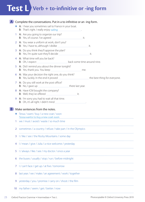# **Test L Verb + to-infinitive or -ing form**

|    | Complete the conversations. Put in a to-infinitive or an -ing form.                                                                                                                                                                                                               |
|----|-----------------------------------------------------------------------------------------------------------------------------------------------------------------------------------------------------------------------------------------------------------------------------------|
|    | A: I hear you sometimes sail to France in your boat.<br>B: That's right. I really enjoy sailing manu-                                                                                                                                                                             |
| T. | A: Are you going to organize our trip?                                                                                                                                                                                                                                            |
| 2  | A: You wear a uniform at work, don't you?<br>B: Yes, I have to, although I dislike <b>manually contained</b> it.                                                                                                                                                                  |
| 3. | A: Do you think they'll approve the plan?                                                                                                                                                                                                                                         |
| 4  | A: What time will you be back?                                                                                                                                                                                                                                                    |
| 5  | A: Did I remind you about the dinner tonight?                                                                                                                                                                                                                                     |
| 6  | A: Was your decision the right one, do you think?<br>B: Yes, luckily. In the end it proved <b>manually and the seam of the best thing for everyone</b> .                                                                                                                          |
| 7  | A: Do you still work at the post office?                                                                                                                                                                                                                                          |
| 8  | A: Have ICM bought the company?                                                                                                                                                                                                                                                   |
| 9  | A: I'm sorry you had to wait all that time.<br>B: Oh, it's all right. I didn't mind <b>manually contained</b> and the state of the state of the state of the state of the state of the state of the state of the state of the state of the state of the state of the state of the |
|    | Make sentences from the notes.                                                                                                                                                                                                                                                    |
|    | ◆ Tessa / want / buy / a new coat / soon                                                                                                                                                                                                                                          |
|    | we / must / avoid / waste / so much time                                                                                                                                                                                                                                          |
| 2  | sometimes / a country / refuse / take part / in the Olympics                                                                                                                                                                                                                      |
| 3. | I / like / see / the Rocky Mountains / some day                                                                                                                                                                                                                                   |
|    | I / mean / give / Julia / a nice welcome / yesterday                                                                                                                                                                                                                              |
| 5  | I / always / like / see / my doctor / once a year                                                                                                                                                                                                                                 |
| 6  | the buses / usually / stop / run / before midnight                                                                                                                                                                                                                                |
| 7  | I / can't face / get up / at five / tomorrow                                                                                                                                                                                                                                      |
| 8  | last year / we / make / an agreement / work / together                                                                                                                                                                                                                            |
| 9  | yesterday / you / promise / carry on / shoot / the film                                                                                                                                                                                                                           |
| 10 | my father / seem / get / better / now                                                                                                                                                                                                                                             |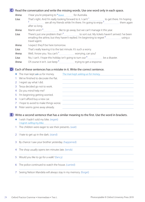# Read the conversation and write the missing words. Use one word only in each space. **C**

Anna: I hear you're preparing to *\* leave* for Australia.

Lisa: That's right. And I'm really looking forward to it. I can't 1 to get there. I'm hoping 2 see all my friends while I'm there. I'm going to enjoy  $\frac{3}{2}$  manual them again after so long.

Anna: Martin and  $1^4$  like to go away, but we can't manage it this year.

Lisa: There's just one problem that  $1^5$  to sort out. My tickets haven't arrived. I've been emailing the airline, but they haven't replied. I'm beginning to regret <sup>6</sup> using a travel agent.

Anna: I expect they'll be here tomorrow.

Lisa: That's really leaving it to the last minute. It's such a worry.

Anna: Well, I know you. You can't  $\frac{7}{1}$  worrying, can you?

**Lisa:** No, I can't. I hope this holiday isn't going to turn out  $\frac{8}{100}$  be a disaster.

Anna: Of course it isn't. Just keep<sup>9</sup> trying to get a response.

**D** Each of these sentences has a mistake in it. Write the correct sentence.

|    | The man kept ask us for money.        |  |
|----|---------------------------------------|--|
|    | We've finished to decorate the flat.  |  |
|    | 2 I regret say what I did.            |  |
|    | 3 Tessa decided go not to work.       |  |
|    | Do you mind help me?                  |  |
| 5. | I'm beginning getting worried.        |  |
|    | 6 I can't afford buy a new car.       |  |
|    | I hope to avoid to make things worse. |  |
|    | Peter seems gone away already.        |  |

Write a second sentence that has a similar meaning to the first. Use the word in brackets. **E**

- ♦ I wish I hadn't sold my bike. (regret) I regret selling my bike.
- 1 The children were eager to see their presents. (wait)
- 2 I hate to get up in the dark. (stand)
- 3 By chance I saw your brother yesterday. (happened)
- 4 The shop usually opens ten minutes late. (tends)
- 5 Would you like to go for a walk? (fancy)
- 6 The police continued to watch the house. (carried)
- 7 Seeing Nelson Mandela will always stay in my memory. (forget)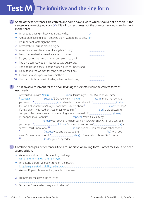# **Test M The infinitive and the -ing form**

### A Some of these sentences are correct, and some have a word which should not be there. If the sentence is correct, put a tick (√). If it is incorrect, cross out the unnecessary word and write it in the space.

|    | I'm used to driving in heavy traffic every day.                |                                       |
|----|----------------------------------------------------------------|---------------------------------------|
|    | Although of feeling tired, Katherine didn't want to go to bed. | οf                                    |
|    | It's important for to sign the form.                           |                                       |
| 2  | Peter broke his arm in playing rugby.                          |                                       |
| 3  | A woman accused Martin of stealing her money.                  |                                       |
| 4  | I wasn't sure whether to write a letter of thanks.             |                                       |
| 5  | Do you remember a young man bumping into you?                  |                                       |
| 6  | The girl's parents wouldn't let her to stay out so late.       |                                       |
|    | The book is too difficult enough for children to understand.   |                                       |
| 8  | Police found the woman for lying dead on the floor.            |                                       |
| 9  | Cars are always expensive to repair them.                      |                                       |
| 10 | The man died as a result of falling asleep while driving.      | ------------------------------------- |

### **B** This is an advertisement for the book *Winning in Business*. Put in the correct form of each verb.

|    | Are you fed up with <i>* being mericion (be)</i> a failure in your job? Wouldn't you rather |  |
|----|---------------------------------------------------------------------------------------------|--|
|    | *succeed (succeed)? Do you want * to earn (earn) more money? Are                            |  |
|    |                                                                                             |  |
|    |                                                                                             |  |
|    |                                                                                             |  |
|    |                                                                                             |  |
|    |                                                                                             |  |
|    |                                                                                             |  |
|    |                                                                                             |  |
|    |                                                                                             |  |
| 11 |                                                                                             |  |
|    |                                                                                             |  |
| 14 |                                                                                             |  |

### C Combine each pair of sentences. Use a to-infinitive or an -ing form. Sometimes you also need a preposition.

- ♦ We've advised Isabelle. She should get a lawyer. We've advised Isabelle to get a lawyer.
- ♦ I'm getting bored. I've been sitting on the beach. I'm getting bored with sitting on the beach.
- 1 We saw Rupert. He was looking in a shop window.
- 2 I remember the clown. He fell over
- 3 Tessa wasn't sure. Which way should she go?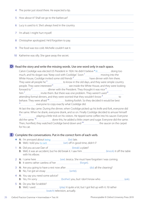4 The porter just stood there. He expected a tip.

|  |  | 5 How about it? Shall we go to the barbecue? |  |  |  |  |  |  |  |  |  |
|--|--|----------------------------------------------|--|--|--|--|--|--|--|--|--|
|--|--|----------------------------------------------|--|--|--|--|--|--|--|--|--|

- 6 Lucy is used to it. She's always lived in the country.
- 7 I'm afraid. I might hurt myself.
- 8 Christopher apologized. He'd forgotten to pay.
- 9 The food was too cold. Michelle couldn't eat it.
- 10 Katherine was silly. She gave away the secret.

# **D** Read the story and write the missing words. Use one word only in each space.

Calvin Coolidge was elected US President in 1924. He didn't believe \* in doing too much, and his slogan was 'Keep cool with Coolidge'. Soon 1 moving into the White House, Coolidge invited some old friends<sup>2</sup> have dinner with him there. They were all people he  $\frac{3}{{}^{5}}$  to know in the old days, and they were simple country people. They were interested <sup>4</sup> second year inside the White House, and they were looking forward to  $5$  dinner with the President. They thought it was nice  $6$ him  $\frac{7}{100}$  invite them. But there was one problem. They weren't used  $\frac{8}{100}$ attending formal dinners, and they were worried that they wouldn't know 9 to behave. They were afraid <sup>10</sup> \_\_\_\_\_\_\_\_\_\_\_\_\_\_\_\_\_ looking foolish. So they decided it would be best 11 everyone to copy exactly what Coolidge did.

At last the day came. During the dinner, when Coolidge picked up his knife and fork, everyone did the same. When he drank, everyone drank, and so on. Finally Coolidge decided to amuse himself 12 playing a little trick on his visitors. He tipped some coffee into his saucer. Everyone did the same.<sup>13</sup> \_\_\_\_\_\_\_\_\_\_\_\_\_\_\_\_\_\_ done this, he added a little cream and sugar. Everyone did the same. Then, horrified, they watched Coolidge bend down and  $14$   $\mu$  the saucer on the carpet for his cat.

# **E** Complete the conversations. Put in the correct form of each verb.

- ◆ A: I'm annoyed about *being* (be) late. B: Well, I told you to set (set) off in good time, didn't I?
- 1 A: Did you accuse Dan of (break) a plate? B: Well, it was an accident, but he did break it. I saw him (knock) it off the table with his elbow.
- 2 A: I came here  $\frac{1}{2}$  Came here  $\frac{1}{2}$  m.  $\frac{1}{2}$  (see) Jessica. She must have forgotten I was coming. B: It seems rather careless of her *manual contract (forget)*.
- 3 A: Are you going to have a rest now after (do) all the cleaning? B: No, I've got an essay *warre and a construct (write)*.
- 4 A: You say you need some advice? B: Yes, I'm sorry **[2006]** (bother) you, but I don't know who **[2006]** (ask).
- 5 A: Do you like Scrabble? B: Well, I used <u>Collectors</u> (play) it quite a lot, but I got fed up with it. I'd rather (watch) television, actually.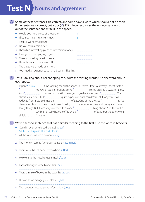# **Test N** Nouns and agreement

A Some of these sentences are correct, and some have a word which should not be there. If the sentence is correct, put a tick (✓). If it is incorrect, cross the unnecessary word out of the sentence and write it in the space.

| ◆ Would you like a piece of chocolate?                |   |
|-------------------------------------------------------|---|
| $\bullet$ I like a classical music very much.         | а |
| 1 That's a wonderful news!                            |   |
| 2 Do you own a computer?                              |   |
| 3 I heard an interesting piece of information today.  |   |
| 4 I saw your friend playing a golf.                   |   |
| 5 There's some luggage in the car.                    |   |
| 6 I bought a carton of some milk.                     |   |
| 7 The gates were made of an iron.                     |   |
| 8 You need an experience to run a business like this. |   |

### **B** Tessa is talking about her shopping trip. Write the missing words. Use one word only in each space.

| I spent * some stream time looking round the shops in Oxford Street yesterday. I spent far too                                                                                                                                  |  |  |
|---------------------------------------------------------------------------------------------------------------------------------------------------------------------------------------------------------------------------------|--|--|
| <sup>1</sup> <b>MALL COVER 2</b> These of course. I bought some <sup>2</sup> <b>Example 2 Example 2 Example 2 Example 2 Example 2 Example 2 Example 2 Example 2 Example 2 Example 2 Example 2 Example 2 Example 2 Example 2</b> |  |  |
| two $3$ $\mu$ of trousers and a skirt. I enjoyed myself – it was great $4$ $\mu$ $\mu$ $\mu$ The                                                                                                                                |  |  |
| skirt is really nice. £100 <sup>5</sup> _____________________quite expensive, but I couldn't resist it. Anyway, it was                                                                                                          |  |  |
| reduced from £120, so I made a <sup>6</sup> <u>masses</u> of £20. One of the dresses <sup>7</sup> fit, I've                                                                                                                     |  |  |
| discovered, but I can take it back next time I go. I had a wonderful time and bought all these                                                                                                                                  |  |  |
| lovely things. But it was very crowded. Everyone <sup>8</sup> succession rushing about. And the traffic                                                                                                                         |  |  |
| 9 La Contract Contract Contract Contract Contract Contract Contract Contract Contract Contract Contract Contract Contract Contract Contract Contract Contract Contract Contract Contract Contract Contract Contract Contract C  |  |  |
| all full, so I didn't bother.                                                                                                                                                                                                   |  |  |

# Write a second sentence that has a similar meaning to the first. Use the word in brackets. **C**

- ♦ Could I have some bread, please? (piece) Could I have a piece of bread, please?
- 1 All the windows were broken. (every)
- 2 The money I earn isn't enough to live on. (earnings)
- 3 There were bits of paper everywhere. (litter)
- 4 We went to the hotel to get a meal. (food)
- 5 Rachael bought some binoculars. (pair)
- 6 There's a sale of books in the town hall. (book)
- 7 I'll have some orange juice, please. (glass)
- 8 The reporter needed some information. (two)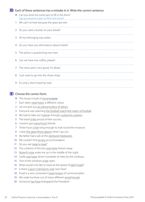# **D** Each of these sentences has a mistake in it. Write the correct sentence.

- ♦ Can you lend me some pen to fill in this form? Can you lend me a pen to fill in this form?
- 1 We can't sit here because the grass are wet.
- 2 Do you want a butter on your bread?
- 3 All my belonging was stolen.
- 4 Do you have any informations about hotels?
- 5 The police is questioning two men.
- 6 Can we have two coffee, please?
- 7 The news aren't very good, I'm afraid.
- 8 I just want to go into this shoes shop.
- 9 It's only a short travel by train.

# **E** Choose the correct form.

- ◆ The house is built of stone/a stone.
- 1 Each team wear/wears a different colour.
- 2 Let me give you an advice/a piece of advice.
- 3 Everyone was watching the football match/the match of football.
- 4 We had to take our luggage through customs/a customs.
- 5 The band is/are proud of their success.
- 6 I haven't got many/much friends.
- 7 Three hours is/are long enough to look round the museum.
- 8 I wear this glass/these glasses when I go out.
- 9 My father had a job at the steelwork/steelworks.
- 10 We couldn't find an/any accommodation.
- 11 Do you eat meat/a meat?
- 12 The contents of the box was/were thrown away.
- 13 Noise/A noise woke me up in the middle of the night.
- 14 Cattle was/were driven hundreds of miles by the cowboys.
- 15 One of the windows is/are open.
- 16 What would it be like to travel at the speed of light/a light?
- 17 Is there a sport club/sports club near here?
- 18 Email is a very convenient mean/means of communication.
- 19 We make furniture out of many different wood/woods.
- 20 Someone has/have kidnapped the President!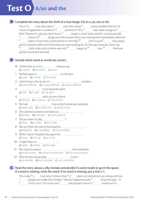# **Test O A/an and the**



# **B** Decide which word or words are correct.

- I think that's an awful thing to say. a) a awful b) an awful c) awful
- 1 Rachael goes to **manual manual manual contract of the bus.** a) work **b**) a work **c**) the work
- 2 I don't know what to do. It's **manually contained** and problem. a) quite difficult b) a quite difficult c) quite a difficult
- 3 **ISO INTERNATIONAL EXECUTE** SPORT. a) Golf b) A golf c) The golf
- 4 material starts at nine o'clock. a) School **b**) A school **c**) The school.
- 5 We had  $\frac{1}{1}$  We had  $\frac{1}{1}$  me at the festival last weekend. a) really nice b) a really nice c) really a nice
- 6 Dan opened a drawer and took out . a) photos **b**) a photos **c**) some photos
- 7 Did you learn to play 2000 2000 2010 a) violin **b**) a violin **c**) the violin
- 8 We can finish the rest of the bread for . a) breakfast **b**) a breakfast **c**) the breakfast
- 9 While I was in hospital, they gave me . a)  $X$ -ray b) a  $X$ -ray c) an  $X$ -ray
- 10 I might listen to *manual* manual manual manual a) radio **b**) radios **c**) the radio
- 11 We need to protect from pollution. a) environment b) some environment c) the environment
- 12 Why do they always play **musically** music? a) so terrible b) such terrible c) such a terrible

#### Read the story about a silly mistake and decide if a word needs to go in the space. **C** If a word is missing, write the word. If no word is missing, put a tick (✓).

This is also  $\bullet$  a true story. It shows how  $\bullet \checkmark$  plans can sometimes go wrong and how  $1$   $\frac{1}{2}$  people can make silly mistakes. This too happened quite  $2$   $\frac{2}{2}$  long time ago – in 1979, in fact. The scene was  $4 \cdot$  old people's home in  $5 \cdot$  small town in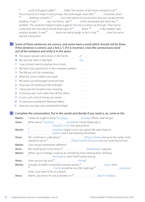$\frac{6}{100}$  north of England called  $\frac{7}{100}$  Otley. The owners of the home wanted to put  $\frac{8}{100}$ fence around it to make it more private. The work began soon after  $9$  Christmas when  $10$  workmen arrived in  $11$  lorry with planks of wood which they put up around the building. 'It was  $12$  manual very nice fence,' said  $13$  manual of the old people. But there was  $14$  m. problem. The workmen forgot to leave a gap for the lorry to drive out through. They had to come back the next day to knock down part of <sup>15</sup> fence. <sup>16</sup> for a silly mistake!' said another resident. 'It was  $17$  funny we had to laugh. In fact it was  $18$  most fun we've had for a long time.'

**D** Some of these sentences are correct, and some have a word which should not be there. If the sentence is correct, put a tick (√). If it is incorrect, cross the unnecessary word out of the sentence and write it in the space.

|    | The space capsule came down in the Pacific.      |                   |
|----|--------------------------------------------------|-------------------|
|    | My new job starts in the April.                  | the               |
| 1  | I was so tired I went to bed at nine o'clock.    |                   |
| 2  | We had a very good lunch in the company canteen. |                   |
| 3  | The life just isn't fair sometimes.              |                   |
| 4  | What the clever children you have!               |                   |
| 5  | We went out and bought some pictures.            |                   |
| 6  | Tessa was still working at the midnight.         |                   |
| 7  | I drive past the hospital every morning.         |                   |
| 8  | A one boy was much taller than all the others.   |                   |
| 9  | It costs such a lot of money, you know.          |                   |
| 10 | I'll meet you outside the National Gallery.      |                   |
| 11 | Have you any idea who invented the fridge?       | ----------------- |

Complete the conversation. Put in the words and decide if you need *a*, *an*, *some* or *the*. **E**

| Martin: | I think we ought to book * a holiday [10] (holiday). Where shall we go?                         |                                                                                                 |  |  |  |  |
|---------|-------------------------------------------------------------------------------------------------|-------------------------------------------------------------------------------------------------|--|--|--|--|
| Anna:   | What about * Scotland (Scotland)? I think Edinburgh is<br>(beautiful city). I love going there. |                                                                                                 |  |  |  |  |
| Martin: | Easter), and it was freezing, remember.                                                         |                                                                                                 |  |  |  |  |
| Anna:   |                                                                                                 |                                                                                                 |  |  |  |  |
| Martin: | Can't we go somewhere different?                                                                |                                                                                                 |  |  |  |  |
| Anna:   |                                                                                                 |                                                                                                 |  |  |  |  |
| Martin: | When I go on holiday, I want to do something more relaxing than climbing                        |                                                                                                 |  |  |  |  |
| Anna:   |                                                                                                 |                                                                                                 |  |  |  |  |
| Martin: | 10 <sup>1</sup>                                                                                 | <sup>o</sup> <u>Carlia (Corfu</u> ) would be nice. We might get <sup>11</sup> Carlia (Sunshine) |  |  |  |  |
|         | there. I just want to lie on a beach.                                                           |                                                                                                 |  |  |  |  |
| Anna:   |                                                                                                 |                                                                                                 |  |  |  |  |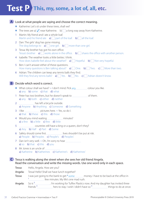# **Test P This, my, some, a lot of, all, etc.**

# Look at what people are saying and choose the correct meaning. **A** ♦ Katherine: Let's sit under these trees, shall we?  $\blacklozenge$  The trees are a)  $\blacktriangledown$  near Katherine. b) a long way away from Katherine. 1 Martin: My friend and I ate a whole loaf. Martin and his friend ate  $\mathbf{a}$ )  $\lim_{n \to \infty}$  part of the loaf.  $\mathbf{b}$   $\lim_{n \to \infty}$  all the loaf. 2 Dan: The girls' dog has gone missing. The dog belongs to  $\mathbf{a}$   $\Box$  one girl.  $\mathbf{b}$   $\Box$  more than one girl. 3 Tessa: My brother has got his own office. Tessa's brother  $\mathbf{a}$   $\cdots$  works alone in the office.  $\mathbf{b}$   $\cdots$  shares the office with another person. 4 Isabelle: The weather looks a little better, I think. How does Isabelle feel about the weather?  $\mathbf{a}$   $\mathbf{a}$  Hopeful.  $\mathbf{b}$  Not very hopeful. 5 Ben: I can't answer either of these questions. How many questions is Ben talking about? **a**)  $\boxed{\phantom{a}}$  One. **b**)  $\boxed{\phantom{a}}$  Two. **c**)  $\boxed{\phantom{a}}$  More than two. 6 Adrian: The children can keep any tennis balls they find. Will they find any tennis balls? **a**)  $\frac{1}{2}$  Yes. **b**)  $\frac{1}{2}$  No. **c**)  $\frac{1}{2}$  Adrian doesn't know. **B** Decide which word is correct.  $\blacklozenge$  What colour shall we have?  $\sim$  I don't mind. Pick any colour you like. a) any **b**) some **c**) that **d**) what 1 Peter has two brothers, but he doesn't speak to **much allocates** of them. a) any **b**) both **c**) either **d**) neither 2 **has left a bicycle outside.** a) Anyone b) Anything c) Someone d) Something 3 I like **manual composition** pictures here. ~ Yes, so do I. a) that **b**) these **c**) this **d**) those 4 Would you mind waiting **minutes** minutes? a) a few b) a little c) few d) little 5 manual countries still have a king or a queen, don't they? a) Any **b**) Half **c**) Part **d**) Some 6 Safety should come first. lives shouldn't be put at risk. a) People b) Peoples c) People's d) Peoples' 7 Dan isn't very well.  $\sim$  Oh, I'm sorry to hear a) so **b**) that **c**) this **d**) you 8 Mr Jones is an uncle of **Common Struth** a) Katherine b) Katherines c) Katherine's d) Katherines' Tessa is walking along the street when she sees her old friend Angela. **C** Read the conversation and write the missing words. Use one word only in each space. Tessa: Hello, Angela. How are you? Angela: Tessa! Hello! Shall we have lunch together?

Tessa: I was just going to the bank to get \* some money. I have to be back at the office in <sup>1</sup> few minutes. My life's one mad rush.

Angela: So is 2 . I'm working for Tuffex Plastics now. And my daughter has invited three friends  $^3$   $\ldots$  hers to stay. I wish I didn't have so  $^4$   $\ldots$   $\ldots$  things to do at once.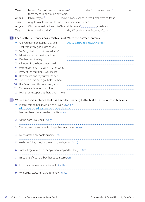| Tessa:  | I'm glad I've run into you. I never see <sup>5</sup> else from our old gang. <sup>6</sup><br>of                        |
|---------|------------------------------------------------------------------------------------------------------------------------|
|         | them seem to be around any more.                                                                                       |
| Angela: | I think they've <sup>7</sup> <sub>------------------------------</sub> moved away, except us two. Carol went to Japan. |
| Tessa:  | Angela, would you like to come for a meal some time?                                                                   |
| Angela: | Oh, that would be lovely. We'll certainly have a $\frac{8}{1}$ mass and the stalk about.                               |
| Tessa:  | Maybe we'll need a <sup>9</sup> _____________________day. What about the Saturday after next?                          |
|         |                                                                                                                        |
|         |                                                                                                                        |

# **D** Each of the sentences has a mistake in it. Write the correct sentence.

|                 | Are you going on holiday that year?        | Are you going on holiday this year? |
|-----------------|--------------------------------------------|-------------------------------------|
|                 | That was a very good idea of you.          |                                     |
|                 | 2 You've got a lot books, haven't you?     |                                     |
|                 | 3 I don't know the meeting's time.         |                                     |
| 4               | Dan has hurt the leg.                      |                                     |
|                 | 5 All rooms in the house were cold.        |                                     |
| 6               | Wear everything–it doesn't matter what.    |                                     |
|                 | 7 Every of the four doors was locked.      |                                     |
| 8               | I live my life, and my sister lives her.   |                                     |
|                 | 9 The both socks have got holes in them.   |                                     |
|                 | 10 Here's a copy of this week magazine.    |                                     |
|                 | 11 This sweater is losing it's colour.     |                                     |
| 12 <sup>2</sup> | I want some paper, but there's no in here. |                                     |

# Write a second sentence that has a similar meaning to the first. Use the word in brackets. **E**

- ♦ When I was on holiday, it rained all week. (whole) When I was on holiday, it rained the whole week.
- 1 I've lived here more than half my life. (most)
- 2 All the hotels were full. (every)
- 3 The house on the corner is bigger than our house. (ours)
- 4 I've forgotten my doctor's name. (of)
- 5 We haven't had much warning of the changes. (little)
- 6 Such a large number of people have applied for the job. (so)
- 7 I met one of your old boyfriends at a party. (an)
- 8 Both the chairs are uncomfortable. (neither)
- 9 My holiday starts ten days from now. (time)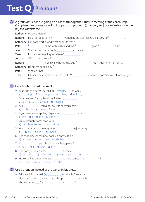#### A A group of friends are going on a coach trip together. They're meeting at the coach stop. Complete the conversation. Put in a personal pronoun (*I*, *me*, *you*, etc.) or a reflexive pronoun (*myself*, *yourself*, etc.).

Katherine: Where's Martin?

**Rupert:** He's ill. I spoke to  $*$  him yesterday. He was feeling a bit sorry for  $1$  . The was feeling a bit sorry for  $1$  . The was feeling a bit sorry for  $1$  . The was feeling a bit sorry for  $1$  . The was feeling a bi

Katherine: Oh, poor Martin. And what about the twins?

Peter:  $2\frac{2}{\pi}$  came with Jessica and me.  $3\frac{1}{\pi}$  gave  $4\frac{1}{\pi}$  a lift.

**Jessica:** Yes, the twins came with  $\frac{5}{\ldots}$  in the car.

Tessa: I hope they're going to behave 6 .

Jessica: Oh, I'm sure they will.

Rupert:  $\frac{7}{1}$   $\frac{1}{2}$  memonion  $\frac{1}{2}$  let nice to have a day out.  $\frac{8}{1}$  say it's going to stay sunny.

Katherine: I'm sure we'll all enjoy 9.

Peter: Where's Anna?

Tessa: Oh, she's here somewhere. I spoke to <sup>10</sup> a moment ago. She was standing right next to 11 .

# **B** Decide which word is correct.

- $\blacklozenge$  I can't go to a party. I haven't got *anything* to wear. a) anything **b**) everything **c**) something **d**) nothing
- 1 Take care, won't you, Anna? Look after . a) you b) your c) yours d) yourself
- 2 Yes, would be lovely to see you again. a) it **b**) that **c**) there **d**) you
- 3 If you want some apples, I'll get you **comedities** at the shop. a) any **b**) it **c**) one **d**) some
- 4 We've brought some food with . a) me **b**) ourselves **c**) us **d**) we
- 5 Who does this bag belong to? ~ . I've just bought it.  $a)$  I b) Me c) Mine d) Myself
- 6 The shop doesn't sell new books. It only sells old . a) of them **b**) ones **c**) some **d**) them
- 7 Is **manually 19** a petrol station near here, please? a) here **b**) it **c**) there **d**) this
- 8 The two girls often wear clothes. a) each other **b**) each other's **c**) themselves **d**) themselves'
- 9 Have you had enough to eat, or would you like something ? a) another **b**) else **c**) new **d**) other

# Use a pronoun instead of the words in brackets. **C**

- ♦ Michelle is in hospital. She (Michelle) isn't very well.
- 1 I lost my watch, but it was only a cheap (watch).
- 2 I have to make tea for (all the people).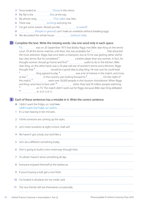- 3 Tessa looked at (Tessa) in the mirror.
- 4 My flat is the *manual* (flat) at the top.
- 5 My phone rang. (The caller) was Alex.
- 6 There was *manual* There was *manual* (a thing) worrying me.
- 7 I've got some sweets. Would you like *manual* **common state** (a sweet)?
- 8 (People in general) can't make an omelette without breaking eggs.
- 9 We decorated the whole house (without help).

# **D** Complete the text. Write the missing words. Use one word only in each space.

♦ It was on 20 September 1973 that Bobby Riggs met Billie Jean King on the tennis court. Of all the tennis matches until then, this was probably the  $1$  that attracted the most attention. Riggs had once been a champion, but at 55 he was getting rather old for top-class tennis. But he considered  $2$  a better player than any woman. In fact, he thought women should go home and find 3 useful to do in the kitchen. Billie Jean King, on the other hand, was a 29-year-old star of women's tennis and a feminist. Riggs thought that <sup>4</sup> would be a good idea to play King. He was sure he could beat 5 **ENET A KING A KING A A KING A GET A KING A GET A KING A GET A KING A GET A KING A KING A GET A KING A KING A MOTE** or less 7 in the country was looking forward to 8 . On the night of the match, <sup>9</sup> were over 30,000 people in the Houston Astrodrome. When Riggs and King came face to face with  $10$  mas other, they had 50 million people watching <sup>11</sup> <sup>11</sup> and the match didn't work out for Riggs, because Billie Jean King defeated  $6-4, 6-3, 6-3.$ 

# **E** Each of these sentences has a mistake in it. Write the correct sentence.

- ◆ I didn't want the fridge, so I sold him. I didn't want the fridge, so I sold it.
- 1 It's a train leaving in ten minutes.
- 2 I think someone are coming up the stairs.
- 3 Let's meet ourselves at eight o'clock, shall we?
- 4 We haven't got a boat, but we'd like a.
- 5 Let's do a different something today.

- 6 One is going to build a new motorway through here.
- 7 I'm afraid I haven't done something all day.
- 8 Everyone enjoyed themself at the barbecue.
- 9 If you're buying a loaf, get a nice fresh.
- 10 I've looked in all places for my credit card.
- 11 The two friends still see themselves occasionally.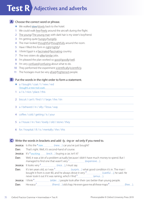# **Test R Adjectives and adverbs**

# A Choose the correct word or phrase.

- ◆ We walked slow/slowly back to the hotel.
- 1 We could walk free/freely around the aircraft during the flight.
- 2 The young/The young man with dark hair is my sister's boyfriend.
- 3 I'm getting quite hungry/hungrily.
- 4 The man looked thoughtful/thoughtfully around the room.
- 5 Have I filled this form in right/rightly?
- 6 I think Egypt is a fascinated/fascinating country.
- 7 The two sisters do alike/similar jobs.
- 8 I'm pleased the plan worked so good/goodly/well.
- 9 I'm very confused/confusing about what to do.
- 10 They performed the experiment scientifically/scientificly.
- 11 The hostages must be very afraid/frightened people.

# **B** Put the words in the right order to form a statement.

- ♦ a / bought / coat / I / new / red I bought a new red coat.
- 1 a / is / nice / place / this
- 2 biscuit / can't / find / I / large / the / tin
- 3 a / behaved / in / silly / Tessa / way
- 4 coffee / cold / getting / is / your
- 5 a / house / in / live / lovely / old / stone / they
- 6 for / hospital / ill / is / mentally / the / this

# Write the words in brackets and add -*ly*, -*ing* or -*ed* only if you need to. **C**

Jessica: Is this the *\* new* (new...) car you've just bought?

Dan: That's right. Well, it's second-hand of course.

Jessica: It's \* exciting (excit...) buying a car, isn't it?

Dan: Well, it was a bit of a problem actually because I didn't have much money to spend. But I managed to find one that wasn't very  $\frac{1}{1}$  (expensive...).

**Jessica:** It looks very  $2$  (nice...), I must say.

Dan: It's ten years old, so I was  $3$  (surpris...) what good condition it's in. The man I bought it from is over 80, and he always drove it very  $4$  (careful...), he said. He never took it out if it was raining, which I find 5 (amus…).

**Jessica:** I think  $\binom{6}{1}$  (elder...) people look after their cars better than young people.

**Dan:** He was a<sup>7</sup> (friend...) old chap. He even gave me all these maps  ${}^{8}$  (free...).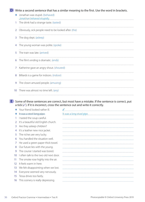# **D** Write a second sentence that has a similar meaning to the first. Use the word in brackets.

|    | Jonathan was stupid. (behaved)<br>Jonathan behaved stupidly |
|----|-------------------------------------------------------------|
| 1  | The drink had a strange taste. (tasted)                     |
| 2  | Obviously, sick people need to be looked after. (the)       |
| 3  | The dog slept. (asleep)                                     |
| 4  | The young woman was polite. (spoke)                         |
| 5  | The train was late. (arrived)                               |
| 6  | The film's ending is dramatic. (ends)                       |
| 7  | Katherine gave an angry shout. (shouted)                    |
| 8  | Billiards is a game for indoors. (indoor)                   |
| 9  | The clown amused people. (amusing)                          |
| 10 | There was almost no time left. (any)                        |

**E** Some of these sentences are correct, but most have a mistake. If the sentence is correct, put a tick (✓). If it is incorrect, cross the sentence out and write it correctly.

|                 | Your friend looked rather ill.         |                                  |
|-----------------|----------------------------------------|----------------------------------|
|                 | It was a steel long pipe.              | <u>It was a long steel pipe.</u> |
| 1               | I tasted the soup careful.             |                                  |
| $\overline{2}$  | It's a beautiful old English church.   |                                  |
| 3               | Are they asleep children?              |                                  |
| 4               | It's a leather new nice jacket.        |                                  |
| 5               | The riches are very lucky.             |                                  |
| 6               | You handled the situation well.        |                                  |
| 7               | He used a green paper thick towel.     |                                  |
| 8               | Our future lies with the young.        |                                  |
| 9               | The course I started was bored.        |                                  |
| 10 <sup>°</sup> | I often talk to the two old next door. |                                  |
| 11              | The smoke rose highly into the air.    |                                  |
| 12 <sup>°</sup> | It feels warm in here.                 |                                  |
| 13              | We felt disappointing when we lost.    |                                  |
| 14              | Everyone seemed very nervously.        |                                  |
| 15              | Tessa drives too fastly.               |                                  |
| 16              | This scenery is really depressing.     |                                  |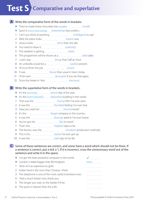# **Test S** Comparative and superlative

# Write the comparative form of the words in brackets. **A**

- ◆ They've made these chocolate bars smaller (small).
- ◆ Sport is *more interesting* (interesting) than politics.
- 1 Can't you think of anything (intelligent) to say?
- 2 Well, the place looks (clean) now.
- 3 Jessica looks **[19]** Jessica looks **(thin)** than she did.
- 4 You need to draw it (carefully).
- 5 The weather is getting **manually contained** (bad).
- 6 The programme will be shown at a <u>manual manual manual</u> (late) date.
- 7 I can't stay (long) than half an hour.
- 8 An umbrella would be a (useful) present.
- 9 I'll try to finish the job (soon).
- 10 It was *machief* (busy) than usual in town today.
- 11 I'll be even **contained** (annoyed) if you do that again.
- 12 Since the break-in I feel (nervous).

# **B** Write the superlative form of the words in brackets.

- ◆ It's the shortest (short) day of the year.
- ♦ It's the most beautiful (beautiful) building in the world.
- 1 That was the (funny) film I've ever seen.
- 2 It was the *manual contract (horrible)* feeling I've ever had.
- 3 Have you read her <u>[</u>[[[1] [2] (recent) book?
- 4 It's the (large) company in the country.
- 5 It was the **manual contract of the contract of the contract** of the ever heard.
- 6 You've got the (far) to travel.
- 7 That's the (helpful) idea so far.
- 8 The factory uses the **contact of the contact of the factory** distribution methods.
- 9 This is the *manual continuum and carly* I've ever got up.
- 10 It was the **contract to the contract of the lines** (sad) day of my life.
- Some of these sentences are correct, and some have a word which should not be there. If **C** a sentence is correct, put a tick (√). If it is incorrect, cross the unnecessary word out of the sentence and write it in the space.

| $\blacklozenge$ I've got the least powerful computer in the world. |      |
|--------------------------------------------------------------------|------|
| $\bullet$ London is more bigger than Birmingham.                   | more |
| 1 Silver isn't as expensive as gold.                               |      |
| 2 Indian food is the nicer than Chinese, I think.                  |      |
| 3 The telephone is one of the most useful inventions ever.         |      |
| 4 I feel a much better now, thank you.                             |      |
| 5 The longer you wait, so the harder it'll be.                     |      |
| 6 The piano is heavier than the sofa.                              |      |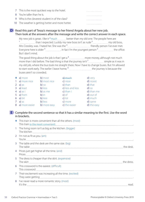| 7 This is the most quickest way to the hotel.     |  |
|---------------------------------------------------|--|
| 8 You're taller than he is.                       |  |
| 9 Who is the cleverest student in of the class?   |  |
| 10 The weather is getting hotter and more hotter. |  |

# **D** Read this part of Tessa's message to her friend Angela about her new job. Then look at the answers after the message and write the correct answer in each space.

My new job is great. I like it  $*$  much better than my old one. The people here are  $\frac{1}{1}$  than I expected. Luckily my new boss isn't as rude  $\frac{2}{1}$  my old boss, Mrs Crossley, was. I hated her. She was the 3 friendly person I've ever met. Everyone here is older 4 . In fact I'm the youngest person 5 the office. But I don't mind.

The good thing about the job is that I get a  $6$  more money, although not much more than I did before. The bad thing is that the journey isn't  $7$  simple as it was in my old job, where the bus took me straight there. Now I have to change buses. But I'm allowed to start work early. The earlier I leave home, <sup>8</sup> the journey is because the buses aren't so crowded.

| $\bullet$ a) more | b) most      | $e$ ) much       | d) very     |
|-------------------|--------------|------------------|-------------|
| 1 a) more nice    | b) most nice | c) nicer         | d) nicest   |
| $2 a)$ as         | b) so        | c) than          | d) that     |
| $3$ a) least      | b) less      | c) less and less | $d$ ) so    |
| $4$ a) as l       | b) as me     | $c)$ than I      | d) than me  |
| 5 a) from         | b) in        | $c)$ of          | d) out of   |
| $6$ a) bit        | b) less      | $c)$ lot         | d) much     |
| $7 a)$ as         | b) less      | c) more          | d) same     |
| 8 a) more easier  | b) more easy | c) the easier    | d) the easy |

**E** Complete the second sentence so that it has a similar meaning to the first. Use the word in brackets.

|                | This train is more convenient than all the others. (most)<br>This train is the most convenient. |  |
|----------------|-------------------------------------------------------------------------------------------------|--|
| $\mathbf{1}$   | The living room isn't as big as the kitchen. (bigger)                                           |  |
|                | 2 I'm not as fit as you. (am)                                                                   |  |
|                | 3 The table and the desk are the same size. (big)<br>the desk.                                  |  |
| $\overline{4}$ | Prices just get higher all the time. (and)                                                      |  |
|                | 5 The dress is cheaper than the skirt. (expensive)<br>the dress.                                |  |
|                | 6 This crossword is the easiest. (difficult)                                                    |  |
|                | 7 Their excitement was increasing all the time. (excited)                                       |  |
|                | 8 I've never read a more romantic story. (most)                                                 |  |
|                |                                                                                                 |  |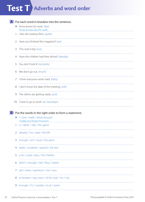# **Test T Adverbs** and word order

| Put each word in brackets into the sentence. |                                                              |  |  |  |  |  |  |
|----------------------------------------------|--------------------------------------------------------------|--|--|--|--|--|--|
|                                              | Anna arrives for work. (late)<br>Anna arrives late for work. |  |  |  |  |  |  |
|                                              | I like old cowboy films. (quite)                             |  |  |  |  |  |  |
| 2                                            | Have you finished this magazine? (yet)                       |  |  |  |  |  |  |
| 3                                            | This coat is big. (too)                                      |  |  |  |  |  |  |
| 4                                            | Have the children had their dinner? (already)                |  |  |  |  |  |  |
| 5.                                           | You don't look ill. (certainly)                              |  |  |  |  |  |  |
| 6                                            | We don't go out. (much)                                      |  |  |  |  |  |  |
| 7                                            | I think everyone works hard. (fairly)                        |  |  |  |  |  |  |
| 8                                            | I don't know the date of the meeting. (still)                |  |  |  |  |  |  |
| 9                                            | The others are getting ready. (just)                         |  |  |  |  |  |  |
|                                              |                                                              |  |  |  |  |  |  |

10 I have to go to work. (on Saturdays)

**B** Put the words in the right order to form a statement.

- ♦ I / love / really / these trousers I really love these trousers.
- 1 is / rather / silly / this game
- 2 already / I've / paid / the bill
- 3 enough / isn't / loud / the alarm
- 4 easily / Jonathan / passed / the test
- 5 a lot / cards / play / the children
- 6 didn't / enough / sell / they / tickets
- 7 ask / many / questions / too / you
- 8 a member / any more / of the club / I'm / not
- 9 enough / it's / outside / to sit / warm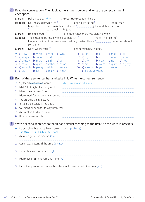# Read the conversation. Then look at the answers below and write the correct answer in **C** each space.

|                                                                          |              | Martin:                          |                                                                                                                              |  |                                             | Hello, Isabelle. * How __________ are you? Have you found a job 1________________?                 |  |                     |       |                                                                                              |                                                                                                  |
|--------------------------------------------------------------------------|--------------|----------------------------------|------------------------------------------------------------------------------------------------------------------------------|--|---------------------------------------------|----------------------------------------------------------------------------------------------------|--|---------------------|-------|----------------------------------------------------------------------------------------------|--------------------------------------------------------------------------------------------------|
|                                                                          | Isabelle:    |                                  | No, I'm afraid not, but I'm <sup>2</sup> Looking. It's taking <sup>3</sup> Looking in longer than<br>Media booking for jobs. |  |                                             |                                                                                                    |  |                     |       |                                                                                              |                                                                                                  |
|                                                                          |              | Martin:                          |                                                                                                                              |  |                                             |                                                                                                    |  |                     |       |                                                                                              |                                                                                                  |
|                                                                          | Isabelle:    |                                  |                                                                                                                              |  |                                             |                                                                                                    |  |                     |       | There used to be lots of work, but there $\text{isn't }^7$ maximum more. I'm afraid I'm $^8$ |                                                                                                  |
|                                                                          |              |                                  | longer as optimistic as I was a few weeks ago. In fact I feel a 9 _______________ depressed about it<br>sometimes.           |  |                                             |                                                                                                    |  |                     |       |                                                                                              |                                                                                                  |
|                                                                          |              |                                  | Martin: Don't worry. You'll <sup>10</sup> [10] [10] [10] [10] [10] something, I expect.                                      |  |                                             |                                                                                                    |  |                     |       |                                                                                              |                                                                                                  |
|                                                                          |              |                                  |                                                                                                                              |  |                                             | $\leftrightarrow$ a) How b) What c) Who d) Why                                                     |  | $6a)$ for           | b) of | c) that $\frac{d}{d}$ to                                                                     |                                                                                                  |
|                                                                          | $\mathbf{1}$ |                                  |                                                                                                                              |  |                                             | <b>a</b> ) longer <b>b</b> ) soon <b>c</b> ) still <b>d</b> ) yet <b>a z a</b> ) any <b>b</b> ) no |  |                     |       |                                                                                              | c) now d) some                                                                                   |
|                                                                          |              |                                  |                                                                                                                              |  |                                             | 2 a) already b) more c) still d) yet 8 a) any b) never                                             |  |                     |       | $c)$ no $d)$ not                                                                             |                                                                                                  |
|                                                                          | 3            |                                  |                                                                                                                              |  |                                             | a) more b) quite c) rather d) some 9 a) bit b) piece                                               |  |                     |       | c) quite                                                                                     | d) slightly                                                                                      |
|                                                                          | 4            |                                  |                                                                                                                              |  |                                             | a) enough b) plenty c) right d) several 10 a) already b) yet                                       |  |                     |       | c) soon                                                                                      |                                                                                                  |
|                                                                          | 5            | a) big                           |                                                                                                                              |  |                                             | <b>b</b> ) lot <b>c</b> ) many <b>d</b> ) much                                                     |  | d) before very long |       |                                                                                              |                                                                                                  |
| D)                                                                       |              |                                  |                                                                                                                              |  |                                             | Each of these sentences has a mistake in it. Write the correct sentence.                           |  |                     |       |                                                                                              |                                                                                                  |
|                                                                          |              |                                  |                                                                                                                              |  | ♦ My friend <del>calls always</del> for me. |                                                                                                    |  |                     |       |                                                                                              | My friend always calls for me.                                                                   |
|                                                                          |              |                                  |                                                                                                                              |  | 1 I didn't last night sleep very well.      |                                                                                                    |  |                     |       |                                                                                              |                                                                                                  |
|                                                                          |              |                                  |                                                                                                                              |  |                                             |                                                                                                    |  |                     |       |                                                                                              |                                                                                                  |
| 2 I think I need to rest little.<br>I don't work for the company longer. |              |                                  |                                                                                                                              |  |                                             |                                                                                                    |  |                     |       |                                                                                              |                                                                                                  |
|                                                                          | 3            |                                  |                                                                                                                              |  |                                             |                                                                                                    |  |                     |       |                                                                                              |                                                                                                  |
|                                                                          | 4            | The article is fair interesting. |                                                                                                                              |  |                                             |                                                                                                    |  |                     |       |                                                                                              |                                                                                                  |
|                                                                          | 5            |                                  |                                                                                                                              |  | Tessa locked carefully the door.            |                                                                                                    |  |                     |       |                                                                                              |                                                                                                  |
|                                                                          | 6            |                                  |                                                                                                                              |  |                                             | You aren't enough tall to play basketball.                                                         |  |                     |       |                                                                                              |                                                                                                  |
|                                                                          |              | 7 We went yesterday to town.     |                                                                                                                              |  |                                             |                                                                                                    |  |                     |       |                                                                                              |                                                                                                  |
|                                                                          | 8            | I like this music much.          |                                                                                                                              |  |                                             |                                                                                                    |  |                     |       |                                                                                              |                                                                                                  |
|                                                                          |              |                                  |                                                                                                                              |  |                                             |                                                                                                    |  |                     |       |                                                                                              | Write a second sentence so that it has a similar meaning to the first. Use the word in brackets. |
|                                                                          |              |                                  |                                                                                                                              |  |                                             | It's probable that the strike will be over soon. (probably)                                        |  |                     |       |                                                                                              |                                                                                                  |
|                                                                          |              |                                  |                                                                                                                              |  |                                             |                                                                                                    |  |                     |       |                                                                                              |                                                                                                  |
|                                                                          |              |                                  |                                                                                                                              |  |                                             | 1 We often go to the cinema. (a lot)                                                               |  |                     |       |                                                                                              |                                                                                                  |
|                                                                          | 2            |                                  |                                                                                                                              |  | Adrian wears jeans all the time. (always)   |                                                                                                    |  |                     |       |                                                                                              |                                                                                                  |
|                                                                          | 3            |                                  |                                                                                                                              |  | These shoes are too small. (big)            |                                                                                                    |  |                     |       |                                                                                              |                                                                                                  |
|                                                                          | 4            |                                  |                                                                                                                              |  | I don't live in Birmingham any more. (no)   |                                                                                                    |  |                     |       |                                                                                              |                                                                                                  |
|                                                                          |              |                                  |                                                                                                                              |  |                                             |                                                                                                    |  |                     |       |                                                                                              |                                                                                                  |

5 Katherine spent more money than she should have done in the sales. (too)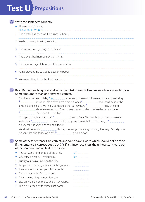# **Test U Prepositions**



# Write the sentences correctly. **A**

- ♦ I'll see you at Monday. I'll see you on Monday.
- 1 The doctor has been working since 12 hours.
- 2 We had a great time in the festival.
- 3 The woman was getting from the car.
- 4 The players had numbers at their shirts.
- 5 The new manager takes over at two weeks' time.
- 6 Anna drove at the garage to get some petrol.
- 7 We were sitting in the back of the room.

# **B** Read Katherine's blog post and write the missing words. Use one word only in each space. Sometimes more than one answer is correct.

This is our first real holiday *\* for and i'm enjoying it tremendously*. I love being  $\frac{1}{1}$  and I can't believe the set almost a week  $\frac{2}{{1}+1}$  and I can't believe the time is going so fast. We finally completed the journey here <sup>3</sup> \_\_\_\_\_\_\_\_\_\_\_\_\_\_\_\_\_\_\_\_\_\_Friday evening 4<br>about eleven o'clock. The journey wasn't too bad, but we had to wait ages<br>be sitned for our flight. subsequent to realist controllering the airport for our flight. Our apartment here is fine. It's  $6$ <sub>----------------------------------</sub> the top floor. The beach isn't far away – we can walk there  $\frac{7}{1}$  five minutes. The only problem is that we have to get  $\frac{8}{1}$ a busy main road, which can be difficult. We don't do much 9 the day, but we go out every evening. Last night's party went on very late, and today we slept <sup>10</sup> eleven o'clock.

### Some of these sentences are correct, and some have a word which should not be there. **C** If the sentence is correct, put a tick  $(\checkmark)$ . If it is incorrect, cross the unnecessary word out of the sentence and write it in the space.

|   | $\blacklozenge$ The cat was sitting on top of the shed. |    |
|---|---------------------------------------------------------|----|
|   | ♦ Coventry is near by Birmingham.                       | bν |
|   | Luckily our train arrived on the time.                  |    |
|   | 2 People were running away from the gunman.             |    |
|   | 3 It sounds as if the company is in trouble.            |    |
|   | 4 The car was in the front of a bus.                    |    |
|   | 5 There's a meeting on next Tuesday.                    |    |
| 6 | Lisa drew a plan on the back of an envelope.            |    |
|   | 7 I'll be exhausted by the time I get home.             |    |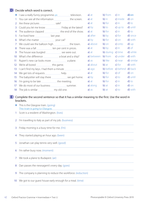# **D** Decide which word is correct.

|                   | I saw a really funny programme on will be the vision.                        |  | $a)$ at    | b) from   | $c)$ in    | $d$ ) on   |
|-------------------|------------------------------------------------------------------------------|--|------------|-----------|------------|------------|
|                   |                                                                              |  | $a)$ at    | b) in     | c) inside  | $d$ ) on   |
| 2                 |                                                                              |  | $a)$ at    | b) for    | $c)$ in    | $d$ ) to   |
| 3                 |                                                                              |  | a) by      | b) to     | $c)$ up to | d) until   |
| 4                 |                                                                              |  | a) at      | b) for    | $c)$ in    | $d$ ) to   |
| 5.                |                                                                              |  | a) after   | b) by     | $c)$ for   | d) since   |
| 6                 |                                                                              |  | a) by      | b) for    | $c)$ on    | d) with    |
| 7                 |                                                                              |  | a) above   | b) on     | c) onto    | $d)$ up    |
| 8                 | There was a fall <b><i>_____________________</i></b> ten per cent in prices. |  | a) at      | b) by     | $c)$ in    | d) of      |
| 9                 |                                                                              |  | a) at      | b) during | c) time    | d) while   |
| 10                | What's the difference <b><i>managerance</i></b> a boat and a ship?           |  | a) between | b) from   | c) under   | d) with    |
| 11                |                                                                              |  | a) as      | b) like   | c) near    | d) similar |
| $12 \overline{ }$ |                                                                              |  | a) about   | b) at     | $c)$ for   | d) with    |
| 13                |                                                                              |  | a) ago     | b) before | c) behind  | d) back    |
| 14                |                                                                              |  | a) at      | b) for    | $c)$ of    | d) on      |
| 15                |                                                                              |  | a) by      | b) for    | $c)$ to    | d) until   |
| 16                |                                                                              |  | a) at      | b) for    | $c)$ in    | $d$ ) to   |
| 17                | We do most of our business <b><i>with an example summer</i></b> .            |  | a) along   | b) at     | c) in      | d) on      |
|                   | 18 The job is similar <b><i>manual</i></b> my old one.                       |  | a) as      | b) at     | $c)$ to    | d) with    |

#### **E** Complete the second sentence so that it has a similar meaning to the first. Use the word in brackets.

- $\blacklozenge$  This is the Glasgow train. (going) This train is going to Glasgow.
- 1 Scott is a resident of Washington. (lives)
- 2 I'm travelling to Italy as part of my job. (business)
- 3 Friday morning is a busy time for me. (I'm)
- 4 They started playing an hour ago. (been)
- 5 Jonathan can play tennis very well. (good)
- 6 I'm rather busy now. (moment)
- 7 We took a plane to Budapest. (air)
- 8 Dan passes the newsagent's every day. (goes)
- 9 The company is planning to reduce the workforce. (reduction)
- 10 We got to our guest house early enough for a meal. (time)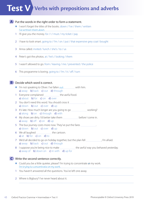# **Test V Verbs with prepositions and adverbs**

# **A** Put the words in the right order to form a statement.

- ♦ I won't forget the titles of the books. down / I've / them / written I've written them down.
- 1 I'll give you the money. for / I / must / my ticket / pay
- 2 I have to look smart, going to / I'm / on / put / that expensive grey coat I bought
- 3 Anna called. invited / lunch / she's / to / us
- 4 Peter's got the photos. at / he's / looking / them
- 5 I wasn't allowed to go. from / leaving / me / prevented / the police
- 6 This programme is boring. going to / I'm / it / off / turn

# **B** Decide which word is correct.

- ♦ I'm not speaking to Oliver. I've fallen out with him. a) away b) back c) out d) through
- 1 Everyone complained **manual complant of the awful food.** a) about b) for c) on d) over
- 2 You don't need this word. You should cross it ................................. a) down **b**) out **c**) over **d**) up
- 3 It's late. How much longer are you going to go working? a) along **b**) on **c**) through **d**) with
- 4 My shoes are dirty. I'd better take them before I come in. a) away **b**) off **c**) on **d**) up
- 5 The bus journey costs more now. They've put the fares . a) down **b**) out **c**) over **d**) up
- 6 We all laughed **the cartoon**. a) at b) for  $c$ ) on  $d$ ) to
- 7 We'd all decided to go on holiday together, but the plan fell , I'm afraid. a) away b) back c) out d) through
- 8 I suppose you're being nice to make the awful way you behaved yesterday. a) away of b) down on c) in with  $d$ ) up for

# Write the second sentence correctly. **C**

- ◆ Could you be a little quieter, please? I'm trying to concentrate at my work. I'm trying to concentrate on my work.
- 1 You haven't answered all the questions. You've left one away.
- 2 Where is Bigbury? I've never heard about it.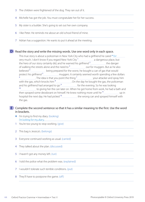- 3 The children were frightened of the dog. They ran out of it.
- 4 Michelle has got the job. You must congratulate her for her success.
- 5 My sister is a builder. She's going to set out her own company.
- 6 I like Peter. He reminds me about an old school friend of mine.
- 7 Adrian has a suggestion. He wants to put it ahead at the meeting.

# **D** Read the story and write the missing words. Use one word only in each space.

This true story is about a policeman in New York City who had a girlfriend he cared  $\star$  for very much. I don't know if you regard New York City<sup>1</sup> [2006] a dangerous place, but the hero of our story certainly did, and he warned his girlfriend  $2$  the danger of walking the streets alone and the need to <sup>3</sup> \_\_\_\_\_\_\_\_\_\_\_\_\_\_\_\_\_ out for muggers. But as he also believed 4 being prepared for the worst, he bought a can of gas that would protect his girlfriend<sup>5</sup> muggers. It certainly seemed worth spending a few dollars  $\frac{6}{100}$  . The idea is that you point the thing  $\frac{7}{100}$  your attacker and spray him with the gas, which knocks him 8 . On the day he bought the gas, the policeman and his girlfriend had arranged to go 9 for the evening. So he was looking 10 **to giving her the can later on.** When he got home from work, he had a bath and then sprayed some deodorant on himself. He knew nothing more until he  $11$  manure also in hospital the next day. He had picked  $12$  the wrong can and sprayed himself with the gas.

#### **E** Complete the second sentence so that it has a similar meaning to the first. Use the word in brackets.

- ♦ I'm trying to find my diary. (looking) I'm looking for my diary.
- 1 You're too young to stop working. (give)
- 2 This bag is Jessica's. (belongs)
- 3 Everyone continued working as usual. (carried)
- 4 They talked about the plan. (discussed)
- 5 I haven't got any money left. (run)
- 6 I told the police what the problem was. (explained)
- 7 I wouldn't tolerate such terrible conditions. (put)
- 8 They'll have to postpone the game. (off)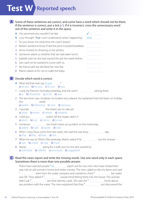# **Test W Reported speech**

A Some of these sentences are correct, and some have a word which should not be there. If the sentence is correct, put a tick (✓). If it is incorrect, cross the unnecessary word out of the sentence and write it in the space.

|    | ◆ You promised you wouldn't be late.                         |      |
|----|--------------------------------------------------------------|------|
|    | Lucy thought 'That I can't understand what's happening.'     | that |
| 1. | Do you know me what time the coach leaves?                   |      |
|    | 2 Robert wanted to know if did the price included breakfast. |      |
|    | 3 Anna insisted on showing us her photos.                    |      |
|    | 4 Someone asked us whether that we had eaten lunch.          |      |
|    | 5 Isabelle told me she had started the job the week before.  |      |
| 6. | Dan said me he wanted to come with us.                       |      |
|    | My friend said she did liked her new flat.                   |      |
|    | 0. Martin asked us farmat to unles that had                  |      |

8 Martin asked us for not to wake the baby.

# **B** Decide which word is correct.

- ◆ What did that man say to you ? a) at you **b**) for you **c**) to you **d**) you
- 1 I rang my friend in Australia yesterday, and she said it raining there. a) is b) should be c) to be d) was
- 2 The last time I saw Jonathan, he looked very relaxed. He explained that he'd been on holiday the week.
	- a) earlier b) following c) next d) previous
- 3 I wonder **manual manual manual** the tickets are on sale yet. a) what **b**) when **c**) where **d**) whether
- 4 I told you switch off the heater, didn't I? a) don't **b**) not **c**) not to **d**) to not
- 5 Someone **me of the Someone** me there's been an accident on the motorway. a) asked b) said c) spoke d) told
- 6 When I rang Tessa some time last week, she said she was busy day. a) that  $\mathbf b$ ) the  $\mathbf c$ ) then  $\mathbf d$ ) this
- 7 When he was at Oliver's flat yesterday, Martin asked if he uncertain use the shower. a) can b) could c) may d) must
- 8 Stacey going for a walk, but no one else wanted to. a) admitted **b**) offered **c**) promised **d**) suggested

C Read the news report and write the missing words. Use one word only in each space. Sometimes there is more than one possible answer.

Police have warned people \* to watch out for two men who have tricked their way into an old woman's home and stolen money. The men called on Mrs Iris Raine and said  $1$   $\frac{1}{2}$  were from the water company and wanted to check  $2$   $\frac{1}{2}$  her water was OK. They asked if<sup>3</sup> would mind letting them into her house. The woman didn't ask  $4$  see their identity cards. She said she  $5$  see know about any problem with the water. The men explained that they  $6 \pm 1$  just discovered the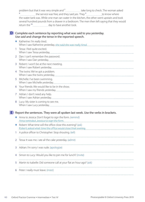problem but that it was very simple and  $7$  take long to check. The woman asked EXCORD THE SERVICE WAS free, and they said yes. They <sup>9</sup> the service where the service was free, and they said yes. They <sup>9</sup> the water tank was. While one man ran water in the kitchen, the other went upstairs and took several hundred pounds from a drawer in a bedroom. The men then left saying that they would return the <sup>10</sup> \_\_\_\_\_\_\_\_\_\_\_\_\_\_\_\_\_\_ day to have another look.

### **D** Complete each sentence by reporting what was said to you yesterday. Use *said* and change the tense in the reported speech.

| 1 Tessa: I feel quite excited.<br>2 Dan: I can't remember the password.<br>Robert: I won't be at the next meeting.<br>3<br>4 The twins: We've got a problem.<br>5 Michelle: I've been swimming.<br>6 Your friends: We would like to be in the show.<br>Adrian: I don't need any help.<br>7 <sup>1</sup><br>Lucy: My sister is coming to see me.<br>8 | ◆ Katherine: I'm really tired. |
|------------------------------------------------------------------------------------------------------------------------------------------------------------------------------------------------------------------------------------------------------------------------------------------------------------------------------------------------------|--------------------------------|
|                                                                                                                                                                                                                                                                                                                                                      |                                |
|                                                                                                                                                                                                                                                                                                                                                      |                                |
|                                                                                                                                                                                                                                                                                                                                                      |                                |
|                                                                                                                                                                                                                                                                                                                                                      |                                |
|                                                                                                                                                                                                                                                                                                                                                      |                                |
|                                                                                                                                                                                                                                                                                                                                                      |                                |
|                                                                                                                                                                                                                                                                                                                                                      |                                |
|                                                                                                                                                                                                                                                                                                                                                      |                                |

# **E** Report the sentences. They were all spoken last week. Use the verbs in brackets.

- ♦ Anna to Jessica: Don't forget to sign the form. (remind) Anna reminded Jessica to sign the form.
- ♦ Robert: What time will the office close this evening? (ask) Robert asked what time the office would close that evening.
- 1 A police officer to Christopher: Stop shouting. (tell)
- 2 Tessa: It was me. I ate all the cake yesterday. (admit)
- 3 Adrian: I'm sorry I was rude. (apologize)
- 4 Simon to Lucy: Would you like to join me for lunch? (invite)
- 5 Martin to Isabelle: Did someone call at your flat an hour ago? (ask)
- 6 Peter: I really must leave. (insist)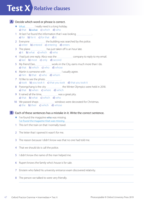# **Test X Relative clauses**

# A Decide which word or phrase is correct.

- ◆ What I I really need is a long holiday. a) that  $\theta$ ) what c) which d) who
- 1 At last I've found the information that I was looking . a) for **b**) for it **c**) for that **d**) it
- 2 Everyone **manually Everyone** the building was searched by the police. a) enter **b**) entered **c**) entering **d**) enters
- 3 The plane **.............................** has just taken off is an hour late. a) it **b**) what **c**) which **d**) who
- 4 I had just one reply. Abco was the **company to reply to my email.** a) last **b**) most **c**) only **d**) second
- 5 My friend Dan, works in the City, earns much more than I do. a) that **b**) which **c**) who **d**) whose
- 6 Martin is someone with I usually agree. a) him **b**) that **c**) who **d**) whom
- 7 I'd like to see the photo . a) took b) you took it c) that you took d) that you took it
- 8 Pyeongchang is the city **hallow Exercise were held in 2018.** a) that **b**) when **c**) where **d**) which
- 9 It rained all the time, **was a great pity**. a) that **b**) what **c**) which **d**) who
- 10 We passed shops **with all all all mates windows** were decorated for Christmas. a) the **b**) their **c**) which **d**) whose

# **B** Each of these sentences has a mistake in it. Write the correct sentence.

- $\blacklozenge$  I've found the magazine who was missing. I've found the magazine that was missing.
- 1 This isn't the train on that I normally travel.
- 2 The letter that I opened it wasn't for me.
- 3 The reason because I didn't know was that no one had told me.
- 4 That we should do is call the police.
- 5 I didn't know the name of the man helped me.
- 6 Rupert knows the family who's house is for sale.
- 7 Einstein who failed his university entrance exam discovered relativity.
- 8 The person we talked to were very friendly.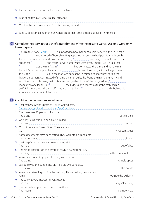- 9 It's the President makes the important decisions.
- 10 I can't find my diary, what is a real nuisance.
- 11 Outside the door was a pair of boots covering in mud.
- 12 Lake Superior, that lies on the US-Canadian border, is the largest lake in North America.

#### C Complete the story about a thief's punishment. Write the missing words. Use one word only in each space.

This is a true story • which is supposed to have happened somewhere in the US. A man <sup>1</sup> was accused of housebreaking appeared in court. He had put his arm through the window of a house and stolen some money  $2$  was lying on a table inside. The argument<sup>3</sup> the man's lawyer put forward wasn't very impressive. He said that 4 was the man's arm 5 had committed the crime and not the man himself. 'You cannot punish a man for  $\frac{6}{100}$  his arm has done,' said the lawyer. Now the judge<sup>7</sup> court the man was appearing in wanted to show how stupid the lawyer's argument was. Instead of finding the man guilty, he found the man's arm guilty and sent it to prison. 'He can go with his arm or not, as he chooses,' the judge added, <sup>8</sup> made everyone laugh. But <sup>9</sup> the judge didn't know was that the man had an artificial arm. He took the arm off, gave it to the judge  $-10$  could hardly believe his eyes – and walked out of the court.

# **D** Combine the two sentences into one.

|                 | That man was Anna's brother. He just walked past.                   |  |
|-----------------|---------------------------------------------------------------------|--|
| $\mathbf{1}$    | The plane was 25 years old. It crashed.                             |  |
| $\overline{2}$  | One day Tessa was ill in bed. Martin called.                        |  |
| $\mathbf{3}$    | Our offices are in Queen Street. They are new.                      |  |
|                 | 4 Some documents have been found. They were stolen from a car.      |  |
| 5.              | That map is out of date. You were looking at it.                    |  |
|                 | 6 The King's Theatre is in the centre of town. It dates from 1896.  |  |
| $7^{\circ}$     | A woman was terribly upset. Her dog was run over.                   |  |
| 8               | Jessica solved the puzzle. She did it before everyone else.         |  |
| 9               | A man was standing outside the building. He was selling newspapers. |  |
| 10 <sup>°</sup> | The talk was very interesting. Julia gave it.                       |  |
| 11 <sup>1</sup> | The house is empty now. I used to live there.                       |  |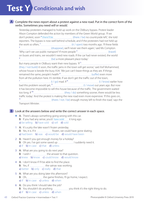### A Complete the news report about a protest against a new road. Put in the correct form of the verbs. Sometimes you need *will* or *would*.

Yesterday protesters managed to hold up work on the Oldbury bypass. Protest leader Alison Compton defended the action by members of the Green World group. 'If we don't protest, soon *• there'll be* (there / be) no countryside left,' she told reporters. The bypass is now well behind schedule, and if the protesters had not held up the work so often, $1$  (it / open) two months ago. 'If these fields 2 (disappear), we'll never see them again,' said Ms Compton. 'Why can't we use public transport? If more people  $3$  (travel) on buses and trains, we wouldn't need new roads. If the car had never existed, the world 4 (be) a more pleasant place today.' But many people in Oldbury want their new bypass. 'If  $5$ (they / not build) it soon, the traffic jams in the town will get worse,' said Asif Mohammed, whose house is beside the busy A34. 'We just can't leave things as they are. If things remained the same, people's health  $6$ <sup>6</sup>
[[EV] [Suffer] even more from all the pollution here. It's terrible. If we don't get the traffic out of the town, 7 [1]  $\frac{7}{100}$  mad. If  $\frac{8}{100}$  mad. If  $\frac{8}{100}$  mate is a set of the set of the set of thow bad this problem would get, <sup>9</sup> [100] [12] (I / move) out years ago. But now it has become impossible to sell this house because of the traffic. The government waited too long. If<sup>10</sup> [10] too long. If<sup>10</sup> [10] too long. If  $t^{10}$  (they / do) something sooner, there would be less traffic today.' And the protest is making the new road even more expensive. 'If this goes on, (there / not / be) enough money left to finish the road,' says the Transport Minister.

**B** Look at the answers below and write the correct answer in each space.

- ◆ A: There's always something going wrong with this car. B: If you had any sense, you'd have sold it long ago. a) be selling b) have sold c) sell d) sold
- 1 A: It's a pity the lake wasn't frozen yesterday. B: Yes, it is. If it *machanomas frozen*, we could have gone skating. a) had been **b**) was **c**) would be **d**) would have been
- 2 A: Haven't you got enough money for a holiday? B: Oh yes. I've got some saved up **I suddenly need it.** a) if b) in case c) that d) unless
- 3 A: What are you going to do next year? B: I wish I **manually 100** the answer to that question. a) knew b) know c) could know d) would know
- 4 A: I don't know if I'll be able to find the place. B: Yes, if the satnav was working. a) better **b**) only **c**) really **d**) that
- 5 A: What are you doing later this afternoon? B: Oh, the game finishes, I'll go home, I expect. a) if b) in case c) unless d) when
- 6 A: Do you think I should take the job? B: You shouldn't do anything you think it's the right thing to do. a) if b) in case c) unless d) when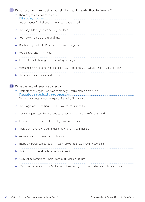# Write a second sentence that has a similar meaning to the first. Begin with *If …* **C**

- ♦ I haven't got a key, so I can't get in. If I had a key, I could get in.
- You talk about football and I'm going to be very bored.
- 2 The baby didn't cry, so we had a good sleep.
- You may want a chat, so just call me.
- Dan hasn't got satellite TV, so he can't watch the game.
- You go away and I'll miss you.
- I'm not rich or I'd have given up working long ago.
- We should have bought that picture five years ago because it would be quite valuable now.
- 8 Throw a stone into water and it sinks.

# Write the second sentence correctly. **D**

- ◆ There aren't any eggs. If we have some eggs, I could make an omelette. If we had some eggs, I could make an omelette.
- The weather doesn't look very good. If it'll rain, I'll stay here.
- The programme is starting soon. Can you tell me if it starts?
- Could you just listen? I didn't need to repeat things all the time if you listened.
- It's a simple law of science. If air will get warmer, it rises.
- There's only one key. I'd better get another one made if I lose it.
- We were really late. I wish we left home earlier.
- I hope the parcel comes today. If it won't arrive today, we'll have to complain.
- That music is on loud. I wish someone turns it down.
- 9 We must do something. Until we act quickly, it'll be too late.
- Of course Martin was angry. But he hadn't been angry if you hadn't damaged his new phone.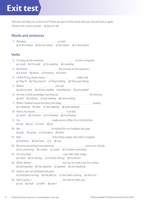# **Exit test**

This test will help you to find out if there are parts of the book that you should look at again. Choose the correct answer  $-$  a), b), c) or d).

# Words and sentences

1 We gave **continuum and a meal.** a) *at the visitors* b) *for the visitors* c) *the visitors* d) *to the visitors*

# Verbs

|                  | a) I work b) I'm work c) I'm working d) I working                       |
|------------------|-------------------------------------------------------------------------|
| 3                | a) is know b) know c) knowing d) knows                                  |
| 4                | a) They fit b) They have fit c) They're fitting d) They were fitting    |
|                  | a) did you park b) did you parked c) parked you d) you parked           |
| 6.               | a) wait b) waiting c) was waiting d) were waiting                       |
| 7.               | a) is sleeping b) slept c) was sleeping d) were sleeping                |
|                  | a) I finish b) I finished c) I'm finished d) I've finished              |
| 9                | a) ever b) just c) never d) yet                                         |
|                  | a) goes b) going c) have gone d) went                                   |
| 11               | a) had been b) has been c) is d) was                                    |
| 12 <sup>°</sup>  | a) I'm swimming b) I swam c) I swim d) I've been swimming               |
| 13 <sup>°</sup>  | a) I drive b) I'm driving c) I've been driving d) I've driven           |
|                  | a) had repaired b) has repaired c) repaired d) was repairing            |
| 15 <sub>15</sub> | a) she'd been running b) she did run c) she's been running d) she's run |
|                  | 16 Don't worry. I manual manual manual be here to help you.             |

a) *not* b) *shall* c) *willn't* d) *won't*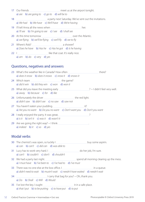- 17 Our friends **meet us at the airport tonight.** a) *are* b) *are going to* c) *go to* d) *will be to* 18 **A party next Saturday. We've sent out the invitations.** a) *We had* b) *We have* c) *We'll have* d) *We're having* 19 I'll tell Anna all the news when **her.** her. a) *I'll see* b) *I'm going to see* c) *I see* d) *I shall see* 20 At this time tomorrow over the Atlantic. a) *we flying* b) *we'll be flying* c) *we'll fly* d) *we to fly* 21 Where's Rob? a shower? a) *Does he have* b) *Has he* c) *Has he got* d) *Is he having*
- 22 I like that coat. It's really nice. a) *am* b) *do* c) *very* d) *yes*

# Questions, negatives and answers

| a) does it snow b) does it snows c) snow it d) snows it                                                                               |  |
|---------------------------------------------------------------------------------------------------------------------------------------|--|
| a) did it win b) did they win c) won d) won it                                                                                        |  |
| a) away b) because c) for d) like                                                                                                     |  |
| 26 Unfortunately the driver <u>[</u> [[[[[[[[[[[[[[[[[[[]]]]]]]]]] the red light.<br>a) didn't saw b) didn't see c) no saw d) saw not |  |
| a) Are you no want b) Do you no want c) Don't want you d) Don't you want                                                              |  |
| a) is it b) isn't it c) was it d) wasn't it                                                                                           |  |
| a) indeed b) it c) so d) yes                                                                                                          |  |

# Modal verbs

- 30 The chemist's was open, so luckily I **human and a continuum and a** buy some aspirin. a) *can* b) *can't* c) *did can* d) *was able to*
- 31 Lucy has to work very hard. I <u>manual manual manual members</u> do her job, I'm sure. a) *can't* b) *couldn't* c) *don't* d) *shouldn't*
- 32 We had a party last night. spend all morning clearing up the mess. a) *I must have* b) *I've been to* c) *I've had to* d) *I've must*
- 33 There was no one else at the box office. I in a queue. a) *didn't need to wait* b) *mustn't wait* c) *needn't have waited* d) *needn't wait*
- $34$   $\ldots$   $\ldots$   $\ldots$   $\ldots$   $\ldots$   $\ldots$   $\ldots$  arry that bag for you?  $\sim$  Oh, thank you. a) *Do* b) *Shall* c) *Will* d) *Would*
- 35 I've lost the key. I ought it in a safe place. a) *that I put* b) *to be putting* c) *to have put* d) *to put*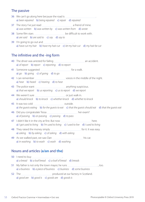# The passive

| 36 We can't go along here because the road is |                                                                  |  |  |                   |
|-----------------------------------------------|------------------------------------------------------------------|--|--|-------------------|
|                                               | a) been repaired b) being repaired c) repair d) repaired         |  |  |                   |
| 37 The story I've just read                   |                                                                  |  |  | a friend of mine. |
|                                               | a) was written b) was written by c) was written from $d$ ) wrote |  |  |                   |
|                                               |                                                                  |  |  |                   |

38 Some film stars **manual constant of the difficult** to work with. a) *are said* b) *are said to* c) *say* d) *say to*

39 I'm going to go out and a) *have cut my hair* b) *have my hair cut* c) *let my hair cut* d) *my hair be cut*

# The infinitive and the -ing form

40 The driver was arrested for failing **manual contents and accident**. a) *of report* b) *report* c) *reporting* d) *to report*

41 Someone suggested **manual community** for a walk. a) *go* b) *going* c) *of going* d) *to go*

42 I can remember **with the middle of the night.** a) *hear* b) *heard* c) *hearing* d) *to hear*

- 43 The police want **manual constitution** anything suspicious. a) *that we report* b) *us reporting* c) *us to report* d) *we report*
- 44 We weren't sure **contained** and the vertex or just walk in. a) *should knock* b) *to knock* c) *whether knock* d) *whether to knock*
- 45 It was too cold **with an all of the contract of the contract of the contract of the contract of the contract of the contract of the contract of the contract of the contract of the contract of the contract of the contrac** a) *the guests eating* b) *for the guests to eat* c) *that the guests should eat* d) *that the guests eat*
- 46 Did you congratulate Tessa her exam? a) *of passing* b) *on passing* c) *passing* d) *to pass*
- 47 I didn't like it in the city at first. But now here. a) *I got used to living* b) *I'm used to living* c) *I used to live* d) *I used to living*

48 They raised the money simply **Forman Container and Sensy** for it. It was easy. a) *asking* b) *by asking* c) *of asking* d) *with asking*

 49 As we walked past, we saw Dan his car. a) *in washing* b) *to wash* c) *wash* d) *washing*

# Nouns and articles (**a/an** and **the**)

| a) a bread b) a loaf bread c) a loaf of bread d) breads                                                                     |      |
|-----------------------------------------------------------------------------------------------------------------------------|------|
| a) a business b) a piece of business c) business d) some business                                                           | TOO. |
| 52 The <u>Communication and the produced</u> at our factory in Scotland.<br>a) good are b) good is c) goods are d) goods is |      |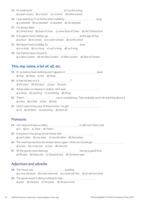| a) a pair scissors b) a scissor c) a scissors d) some scissors                                                                        |
|---------------------------------------------------------------------------------------------------------------------------------------|
| a) a doorbell b) an doorbell c) doorbell d) the doorbell                                                                              |
| a) Chinese food b) food of China c) some food of China d) the Chinese food                                                            |
| a) school b) to school c) to some schools d) to the school                                                                            |
| 57 We haven't had a holiday for <u>with and the summan with time</u> .<br>a) $a$ so long b) so $a$ long c) such $a$ long d) such long |
| a) a West London b) the West London c) West London d) West of London                                                                  |

# **This**, **my**, **some**, **a lot of**, **all**, etc.

| place.<br>a) that b) these c) this d) those                                                        |
|----------------------------------------------------------------------------------------------------|
|                                                                                                    |
| a) the yours b) the your's c) your d) yours                                                        |
| 61 Adrian takes no interest in clothes. He'll wear<br>a) a thing b) anything c) something d) thing |
|                                                                                                    |
| a) $a$ few b) $a$ little c) few d) little                                                          |
| 63 I don't want to buy any of these books. I've got                                                |

a) *all* b) *all them* c) *everything* d) *them all*

# **Pronouns**

 64 Let's stop and have a coffee. a café over there, look. a) *Is* b) *It's* c) *There* d) *There's*

 65 Everyone in the group shook hands with . a) *each other* b) *one other* c) *one the other* d) *themselves*

- 66 The washing machine has broken down again. I think we should get . a) *a new* b) *a new one* c) *new* d) *new one*
- 67 All the guests were dancing. having a good time. a) *All were* b) *Every was* c) *Everyone was* d) *Someone were*

# Adjectives and adverbs

68 The house was **manually and the house was** building. a) *a nice old stone* b) *a nice stone old* c) *a stone old nice* d) *an old nice stone* 69 The government is doing nothing to help . a) *poor* b) *the poor* c) *the poors* d) *the poor ones*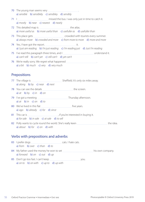- 70 The young man seems very *.................*... a) *sensible* b) *sensiblely* c) *sensibley* d) *sensibly*
- 71 I Manden and missed the bus. I was only just in time to catch it. a) *mostly* b) *near* c) *nearest* d) *nearly*
- 72 This detailed map is **manual constant and at large at las**. a) *more useful as* b) *more useful than* c) *usefuller as* d) *usefuller than*
- 73 This place gets **crowded** with tourists every summer. a) *always more* b) *crowded and more* c) *from more to more* d) *more and more*
- 74 Yes, I have got the report. it. a) *I just am reading* b) *I'm just reading* c) *I'm reading just* d) *Just I'm reading*
- 75 I've read this paragraph three times, and I **with the index** understand it. a) *can't still* b) *can't yet* c) *still can't* d) *yet can't*
- 76 We're really sorry. We regret what happened . a) *a bit* b) *much* c) *very* d) *very much*

# **Prepositions**

- 77 The village is Sheffield. It's only six miles away. a) *along* b) *by* c) *near* d) *next*
- 78 You can see the details **the screen.** The screen. a) *at* b) *by* c) *in* d) *on*
- 79 I've got a meeting **Thursday** afternoon. a) *at* b) *in* c) *on* d) *to*
- 80 We've lived in this flat **Fig. 1.1** (1980) Me've ars. a) *ago* b) *already* c) *for* d) *since*
- 81 This car is **manually actival interested** in buying it. a) *for sale* b) *in sale* c) *at sale* d) *to sell*
- 82 Polly wants to cycle round the world. She's really keen was also we ally the idea. a) *about* b) *for* c) *on* d) *with*

# Verbs with prepositions and adverbs

| a) from b) over c) than d) to                                           |      |
|-------------------------------------------------------------------------|------|
| a) forward $\left(b\right)$ on $\left(c\right)$ out $\left(d\right)$ up |      |
|                                                                         | you. |

a) *on to* b) *on with* c) *up to* d) *up with*